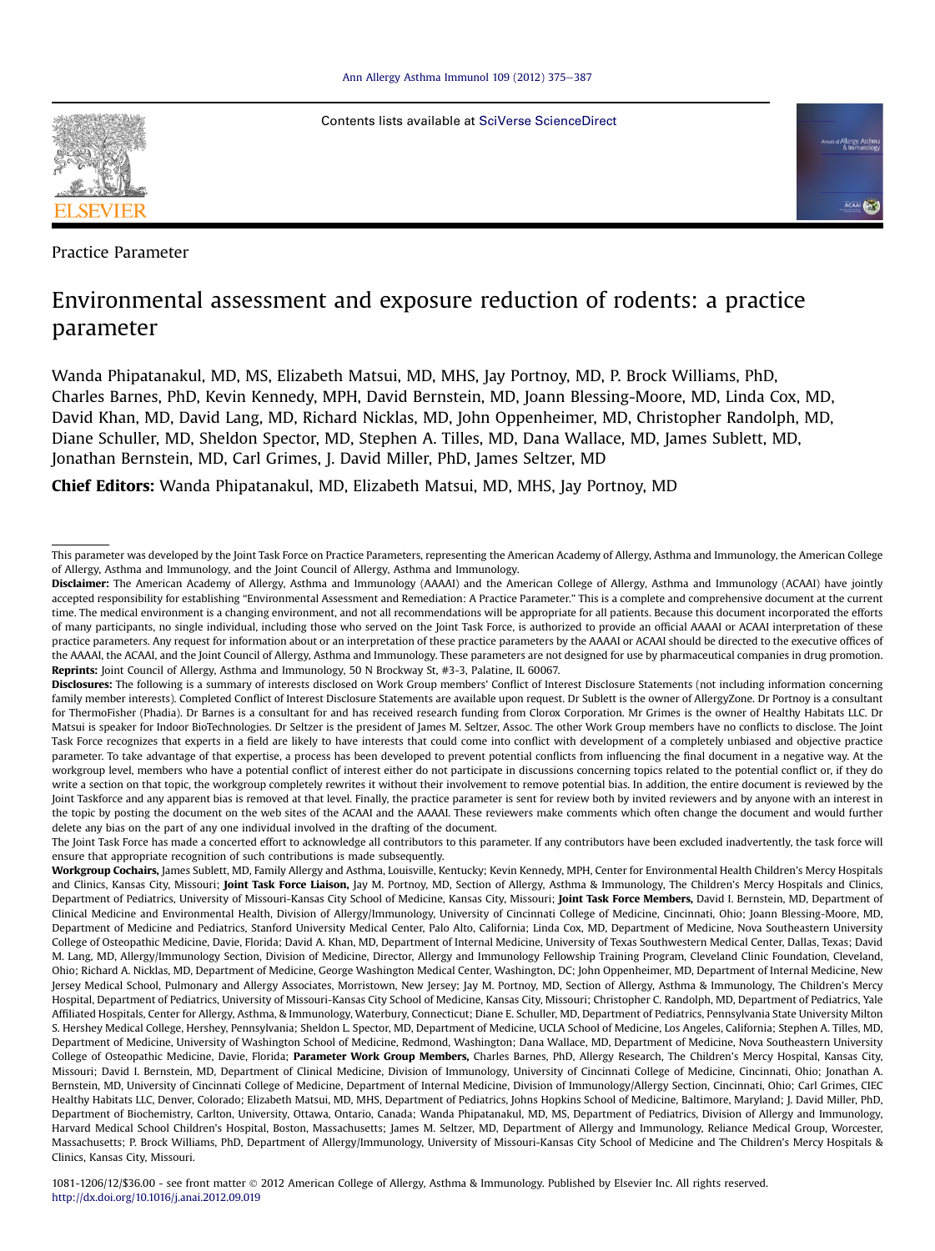

Contents lists available at [SciVerse ScienceDirect](www.sciencedirect.com/science/journal/10811206)



# Environmental assessment and exposure reduction of rodents: a practice parameter

Wanda Phipatanakul, MD, MS, Elizabeth Matsui, MD, MHS, Jay Portnoy, MD, P. Brock Williams, PhD, Charles Barnes, PhD, Kevin Kennedy, MPH, David Bernstein, MD, Joann Blessing-Moore, MD, Linda Cox, MD, David Khan, MD, David Lang, MD, Richard Nicklas, MD, John Oppenheimer, MD, Christopher Randolph, MD, Diane Schuller, MD, Sheldon Spector, MD, Stephen A. Tilles, MD, Dana Wallace, MD, James Sublett, MD, Jonathan Bernstein, MD, Carl Grimes, J. David Miller, PhD, James Seltzer, MD

Chief Editors: Wanda Phipatanakul, MD, Elizabeth Matsui, MD, MHS, Jay Portnoy, MD

This parameter was developed by the Joint Task Force on Practice Parameters, representing the American Academy of Allergy, Asthma and Immunology, the American College of Allergy, Asthma and Immunology, and the Joint Council of Allergy, Asthma and Immunology.

Disclaimer: The American Academy of Allergy, Asthma and Immunology (AAAAI) and the American College of Allergy, Asthma and Immunology (ACAAI) have jointly accepted responsibility for establishing "Environmental Assessment and Remediation: A Practice Parameter." This is a complete and comprehensive document at the current time. The medical environment is a changing environment, and not all recommendations will be appropriate for all patients. Because this document incorporated the efforts of many participants, no single individual, including those who served on the Joint Task Force, is authorized to provide an official AAAAI or ACAAI interpretation of these practice parameters. Any request for information about or an interpretation of these practice parameters by the AAAAI or ACAAI should be directed to the executive offices of the AAAAI, the ACAAI, and the Joint Council of Allergy, Asthma and Immunology. These parameters are not designed for use by pharmaceutical companies in drug promotion. Reprints: Joint Council of Allergy, Asthma and Immunology, 50 N Brockway St, #3-3, Palatine, IL 60067.

Disclosures: The following is a summary of interests disclosed on Work Group members' Conflict of Interest Disclosure Statements (not including information concerning family member interests). Completed Conflict of Interest Disclosure Statements are available upon request. Dr Sublett is the owner of AllergyZone. Dr Portnoy is a consultant for ThermoFisher (Phadia). Dr Barnes is a consultant for and has received research funding from Clorox Corporation. Mr Grimes is the owner of Healthy Habitats LLC. Dr Matsui is speaker for Indoor BioTechnologies. Dr Seltzer is the president of James M. Seltzer, Assoc. The other Work Group members have no conflicts to disclose. The Joint Task Force recognizes that experts in a field are likely to have interests that could come into conflict with development of a completely unbiased and objective practice parameter. To take advantage of that expertise, a process has been developed to prevent potential conflicts from influencing the final document in a negative way. At the workgroup level, members who have a potential conflict of interest either do not participate in discussions concerning topics related to the potential conflict or, if they do write a section on that topic, the workgroup completely rewrites it without their involvement to remove potential bias. In addition, the entire document is reviewed by the Joint Taskforce and any apparent bias is removed at that level. Finally, the practice parameter is sent for review both by invited reviewers and by anyone with an interest in the topic by posting the document on the web sites of the ACAAI and the AAAAI. These reviewers make comments which often change the document and would further delete any bias on the part of any one individual involved in the drafting of the document.

The Joint Task Force has made a concerted effort to acknowledge all contributors to this parameter. If any contributors have been excluded inadvertently, the task force will ensure that appropriate recognition of such contributions is made subsequently.

Workgroup Cochairs, James Sublett, MD, Family Allergy and Asthma, Louisville, Kentucky; Kevin Kennedy, MPH, Center for Environmental Health Children's Mercy Hospitals and Clinics, Kansas City, Missouri; Joint Task Force Liaison, Jay M. Portnoy, MD, Section of Allergy, Asthma & Immunology, The Children's Mercy Hospitals and Clinics, Department of Pediatrics, University of Missouri-Kansas City School of Medicine, Kansas City, Missouri; Joint Task Force Members, David I. Bernstein, MD, Department of Clinical Medicine and Environmental Health, Division of Allergy/Immunology, University of Cincinnati College of Medicine, Cincinnati, Ohio; Joann Blessing-Moore, MD, Department of Medicine and Pediatrics, Stanford University Medical Center, Palo Alto, California; Linda Cox, MD, Department of Medicine, Nova Southeastern University College of Osteopathic Medicine, Davie, Florida; David A. Khan, MD, Department of Internal Medicine, University of Texas Southwestern Medical Center, Dallas, Texas; David M. Lang, MD, Allergy/Immunology Section, Division of Medicine, Director, Allergy and Immunology Fellowship Training Program, Cleveland Clinic Foundation, Cleveland, Ohio; Richard A. Nicklas, MD, Department of Medicine, George Washington Medical Center, Washington, DC; John Oppenheimer, MD, Department of Internal Medicine, New Jersey Medical School, Pulmonary and Allergy Associates, Morristown, New Jersey; Jay M. Portnoy, MD, Section of Allergy, Asthma & Immunology, The Children's Mercy Hospital, Department of Pediatrics, University of Missouri-Kansas City School of Medicine, Kansas City, Missouri; Christopher C. Randolph, MD, Department of Pediatrics, Yale Affiliated Hospitals, Center for Allergy, Asthma, & Immunology, Waterbury, Connecticut; Diane E. Schuller, MD, Department of Pediatrics, Pennsylvania State University Milton S. Hershey Medical College, Hershey, Pennsylvania; Sheldon L. Spector, MD, Department of Medicine, UCLA School of Medicine, Los Angeles, California; Stephen A. Tilles, MD, Department of Medicine, University of Washington School of Medicine, Redmond, Washington; Dana Wallace, MD, Department of Medicine, Nova Southeastern University College of Osteopathic Medicine, Davie, Florida; Parameter Work Group Members, Charles Barnes, PhD, Allergy Research, The Children's Mercy Hospital, Kansas City, Missouri; David I. Bernstein, MD, Department of Clinical Medicine, Division of Immunology, University of Cincinnati College of Medicine, Cincinnati, Ohio; Jonathan A. Bernstein, MD, University of Cincinnati College of Medicine, Department of Internal Medicine, Division of Immunology/Allergy Section, Cincinnati, Ohio; Carl Grimes, CIEC Healthy Habitats LLC, Denver, Colorado; Elizabeth Matsui, MD, MHS, Department of Pediatrics, Johns Hopkins School of Medicine, Baltimore, Maryland; J. David Miller, PhD, Department of Biochemistry, Carlton, University, Ottawa, Ontario, Canada; Wanda Phipatanakul, MD, MS, Department of Pediatrics, Division of Allergy and Immunology, Harvard Medical School Children's Hospital, Boston, Massachusetts; James M. Seltzer, MD, Department of Allergy and Immunology, Reliance Medical Group, Worcester, Massachusetts; P. Brock Williams, PhD, Department of Allergy/Immunology, University of Missouri-Kansas City School of Medicine and The Children's Mercy Hospitals & Clinics, Kansas City, Missouri.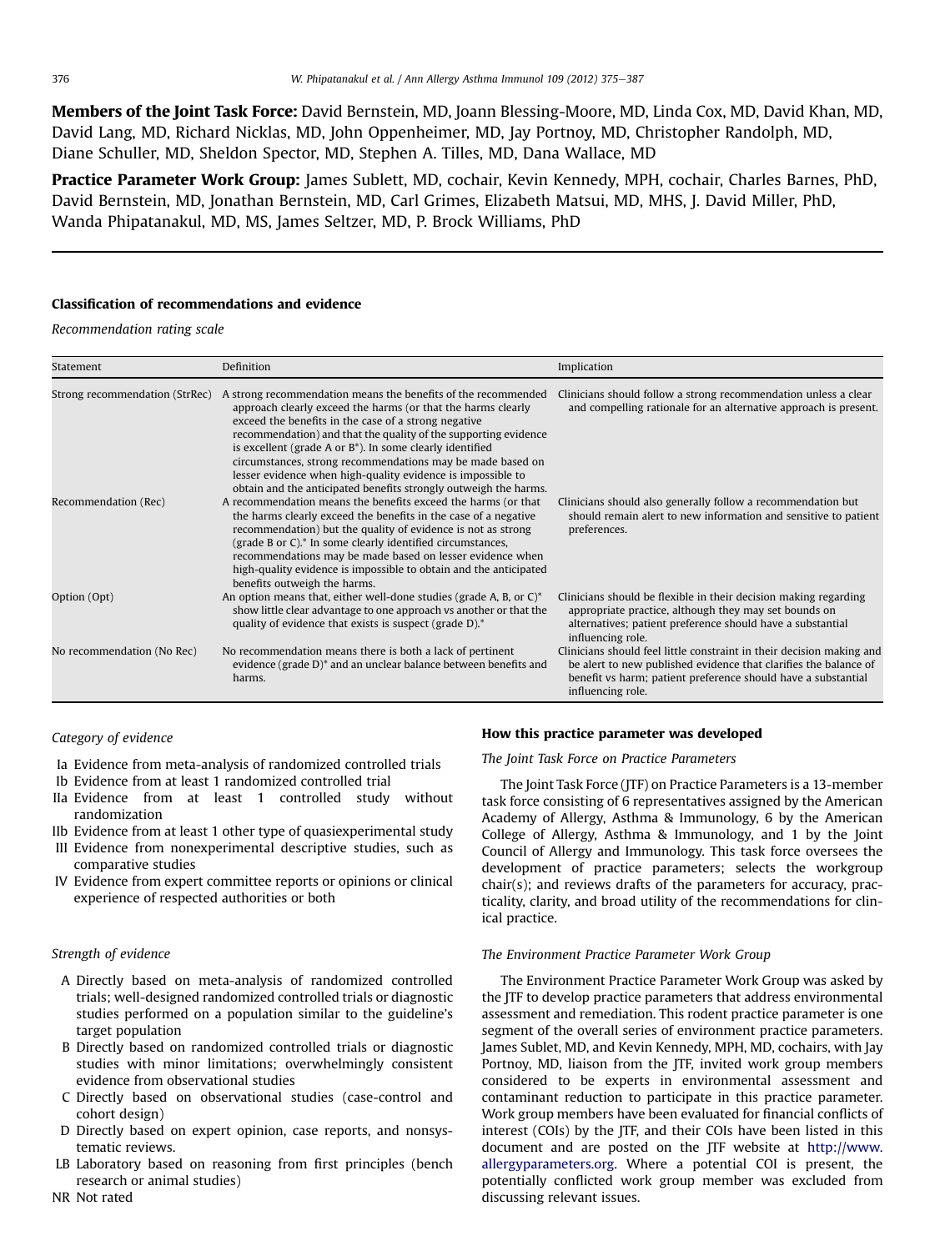Members of the Joint Task Force: David Bernstein, MD, Joann Blessing-Moore, MD, Linda Cox, MD, David Khan, MD, David Lang, MD, Richard Nicklas, MD, John Oppenheimer, MD, Jay Portnoy, MD, Christopher Randolph, MD, Diane Schuller, MD, Sheldon Spector, MD, Stephen A. Tilles, MD, Dana Wallace, MD

Practice Parameter Work Group: James Sublett, MD, cochair, Kevin Kennedy, MPH, cochair, Charles Barnes, PhD, David Bernstein, MD, Jonathan Bernstein, MD, Carl Grimes, Elizabeth Matsui, MD, MHS, J. David Miller, PhD, Wanda Phipatanakul, MD, MS, James Seltzer, MD, P. Brock Williams, PhD

# Classification of recommendations and evidence

Recommendation rating scale

| Statement                      | Definition                                                                                                                                                                                                                                                                                                                                                                                                                                                                                                                | Implication                                                                                                                                                                                                                     |
|--------------------------------|---------------------------------------------------------------------------------------------------------------------------------------------------------------------------------------------------------------------------------------------------------------------------------------------------------------------------------------------------------------------------------------------------------------------------------------------------------------------------------------------------------------------------|---------------------------------------------------------------------------------------------------------------------------------------------------------------------------------------------------------------------------------|
| Strong recommendation (StrRec) | A strong recommendation means the benefits of the recommended<br>approach clearly exceed the harms (or that the harms clearly<br>exceed the benefits in the case of a strong negative<br>recommendation) and that the quality of the supporting evidence<br>is excellent (grade A or $B^*$ ). In some clearly identified<br>circumstances, strong recommendations may be made based on<br>lesser evidence when high-quality evidence is impossible to<br>obtain and the anticipated benefits strongly outweigh the harms. | Clinicians should follow a strong recommendation unless a clear<br>and compelling rationale for an alternative approach is present.                                                                                             |
| Recommendation (Rec)           | A recommendation means the benefits exceed the harms (or that<br>the harms clearly exceed the benefits in the case of a negative<br>recommendation) but the quality of evidence is not as strong<br>(grade B or C).* In some clearly identified circumstances,<br>recommendations may be made based on lesser evidence when<br>high-quality evidence is impossible to obtain and the anticipated<br>benefits outweigh the harms.                                                                                          | Clinicians should also generally follow a recommendation but<br>should remain alert to new information and sensitive to patient<br>preferences.                                                                                 |
| Option (Opt)                   | An option means that, either well-done studies (grade A, B, or $C$ )*<br>show little clear advantage to one approach vs another or that the<br>quality of evidence that exists is suspect (grade $D$ ). <sup>*</sup>                                                                                                                                                                                                                                                                                                      | Clinicians should be flexible in their decision making regarding<br>appropriate practice, although they may set bounds on<br>alternatives; patient preference should have a substantial<br>influencing role.                    |
| No recommendation (No Rec)     | No recommendation means there is both a lack of pertinent<br>evidence (grade D) <sup>*</sup> and an unclear balance between benefits and<br>harms.                                                                                                                                                                                                                                                                                                                                                                        | Clinicians should feel little constraint in their decision making and<br>be alert to new published evidence that clarifies the balance of<br>benefit vs harm; patient preference should have a substantial<br>influencing role. |

# Category of evidence

- Ia Evidence from meta-analysis of randomized controlled trials
- Ib Evidence from at least 1 randomized controlled trial
- IIa Evidence from at least 1 controlled study without randomization
- IIb Evidence from at least 1 other type of quasiexperimental study
- III Evidence from nonexperimental descriptive studies, such as comparative studies
- IV Evidence from expert committee reports or opinions or clinical experience of respected authorities or both

### Strength of evidence

NR Not rated

- A Directly based on meta-analysis of randomized controlled trials; well-designed randomized controlled trials or diagnostic studies performed on a population similar to the guideline's target population
- B Directly based on randomized controlled trials or diagnostic studies with minor limitations; overwhelmingly consistent evidence from observational studies
- C Directly based on observational studies (case-control and cohort design)
- D Directly based on expert opinion, case reports, and nonsystematic reviews.
- LB Laboratory based on reasoning from first principles (bench research or animal studies)

#### How this practice parameter was developed

#### The Joint Task Force on Practice Parameters

The Joint Task Force (JTF) on Practice Parameters is a 13-member task force consisting of 6 representatives assigned by the American Academy of Allergy, Asthma & Immunology, 6 by the American College of Allergy, Asthma & Immunology, and 1 by the Joint Council of Allergy and Immunology. This task force oversees the development of practice parameters; selects the workgroup chair(s); and reviews drafts of the parameters for accuracy, practicality, clarity, and broad utility of the recommendations for clinical practice.

#### The Environment Practice Parameter Work Group

The Environment Practice Parameter Work Group was asked by the JTF to develop practice parameters that address environmental assessment and remediation. This rodent practice parameter is one segment of the overall series of environment practice parameters. James Sublet, MD, and Kevin Kennedy, MPH, MD, cochairs, with Jay Portnoy, MD, liaison from the JTF, invited work group members considered to be experts in environmental assessment and contaminant reduction to participate in this practice parameter. Work group members have been evaluated for financial conflicts of interest (COIs) by the JTF, and their COIs have been listed in this document and are posted on the JTF website at [http://www.](http://www.allergyparameters.org) [allergyparameters.org](http://www.allergyparameters.org). Where a potential COI is present, the potentially conflicted work group member was excluded from discussing relevant issues.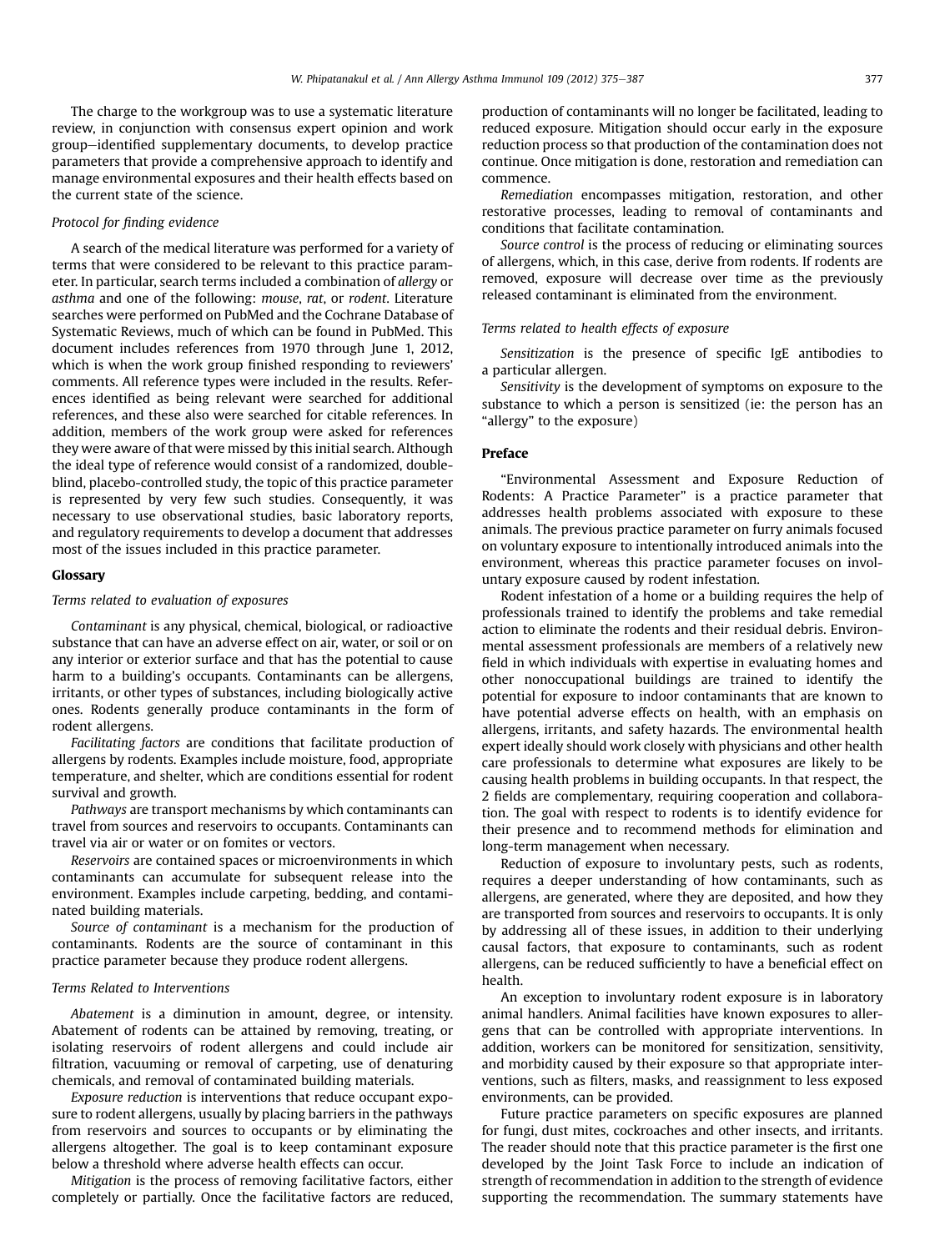The charge to the workgroup was to use a systematic literature review, in conjunction with consensus expert opinion and work group-identified supplementary documents, to develop practice parameters that provide a comprehensive approach to identify and manage environmental exposures and their health effects based on the current state of the science.

# Protocol for finding evidence

A search of the medical literature was performed for a variety of terms that were considered to be relevant to this practice parameter. In particular, search terms included a combination of allergy or asthma and one of the following: mouse, rat, or rodent. Literature searches were performed on PubMed and the Cochrane Database of Systematic Reviews, much of which can be found in PubMed. This document includes references from 1970 through June 1, 2012, which is when the work group finished responding to reviewers' comments. All reference types were included in the results. References identified as being relevant were searched for additional references, and these also were searched for citable references. In addition, members of the work group were asked for references they were aware of that were missed by this initial search. Although the ideal type of reference would consist of a randomized, doubleblind, placebo-controlled study, the topic of this practice parameter is represented by very few such studies. Consequently, it was necessary to use observational studies, basic laboratory reports, and regulatory requirements to develop a document that addresses most of the issues included in this practice parameter.

### Glossary

# Terms related to evaluation of exposures

Contaminant is any physical, chemical, biological, or radioactive substance that can have an adverse effect on air, water, or soil or on any interior or exterior surface and that has the potential to cause harm to a building's occupants. Contaminants can be allergens, irritants, or other types of substances, including biologically active ones. Rodents generally produce contaminants in the form of rodent allergens.

Facilitating factors are conditions that facilitate production of allergens by rodents. Examples include moisture, food, appropriate temperature, and shelter, which are conditions essential for rodent survival and growth.

Pathways are transport mechanisms by which contaminants can travel from sources and reservoirs to occupants. Contaminants can travel via air or water or on fomites or vectors.

Reservoirs are contained spaces or microenvironments in which contaminants can accumulate for subsequent release into the environment. Examples include carpeting, bedding, and contaminated building materials.

Source of contaminant is a mechanism for the production of contaminants. Rodents are the source of contaminant in this practice parameter because they produce rodent allergens.

### Terms Related to Interventions

Abatement is a diminution in amount, degree, or intensity. Abatement of rodents can be attained by removing, treating, or isolating reservoirs of rodent allergens and could include air filtration, vacuuming or removal of carpeting, use of denaturing chemicals, and removal of contaminated building materials.

Exposure reduction is interventions that reduce occupant exposure to rodent allergens, usually by placing barriers in the pathways from reservoirs and sources to occupants or by eliminating the allergens altogether. The goal is to keep contaminant exposure below a threshold where adverse health effects can occur.

Mitigation is the process of removing facilitative factors, either completely or partially. Once the facilitative factors are reduced,

production of contaminants will no longer be facilitated, leading to reduced exposure. Mitigation should occur early in the exposure reduction process so that production of the contamination does not continue. Once mitigation is done, restoration and remediation can commence.

Remediation encompasses mitigation, restoration, and other restorative processes, leading to removal of contaminants and conditions that facilitate contamination.

Source control is the process of reducing or eliminating sources of allergens, which, in this case, derive from rodents. If rodents are removed, exposure will decrease over time as the previously released contaminant is eliminated from the environment.

### Terms related to health effects of exposure

Sensitization is the presence of specific IgE antibodies to a particular allergen.

Sensitivity is the development of symptoms on exposure to the substance to which a person is sensitized (ie: the person has an "allergy" to the exposure)

### Preface

"Environmental Assessment and Exposure Reduction of Rodents: A Practice Parameter" is a practice parameter that addresses health problems associated with exposure to these animals. The previous practice parameter on furry animals focused on voluntary exposure to intentionally introduced animals into the environment, whereas this practice parameter focuses on involuntary exposure caused by rodent infestation.

Rodent infestation of a home or a building requires the help of professionals trained to identify the problems and take remedial action to eliminate the rodents and their residual debris. Environmental assessment professionals are members of a relatively new field in which individuals with expertise in evaluating homes and other nonoccupational buildings are trained to identify the potential for exposure to indoor contaminants that are known to have potential adverse effects on health, with an emphasis on allergens, irritants, and safety hazards. The environmental health expert ideally should work closely with physicians and other health care professionals to determine what exposures are likely to be causing health problems in building occupants. In that respect, the 2 fields are complementary, requiring cooperation and collaboration. The goal with respect to rodents is to identify evidence for their presence and to recommend methods for elimination and long-term management when necessary.

Reduction of exposure to involuntary pests, such as rodents, requires a deeper understanding of how contaminants, such as allergens, are generated, where they are deposited, and how they are transported from sources and reservoirs to occupants. It is only by addressing all of these issues, in addition to their underlying causal factors, that exposure to contaminants, such as rodent allergens, can be reduced sufficiently to have a beneficial effect on health.

An exception to involuntary rodent exposure is in laboratory animal handlers. Animal facilities have known exposures to allergens that can be controlled with appropriate interventions. In addition, workers can be monitored for sensitization, sensitivity, and morbidity caused by their exposure so that appropriate interventions, such as filters, masks, and reassignment to less exposed environments, can be provided.

Future practice parameters on specific exposures are planned for fungi, dust mites, cockroaches and other insects, and irritants. The reader should note that this practice parameter is the first one developed by the Joint Task Force to include an indication of strength of recommendation in addition to the strength of evidence supporting the recommendation. The summary statements have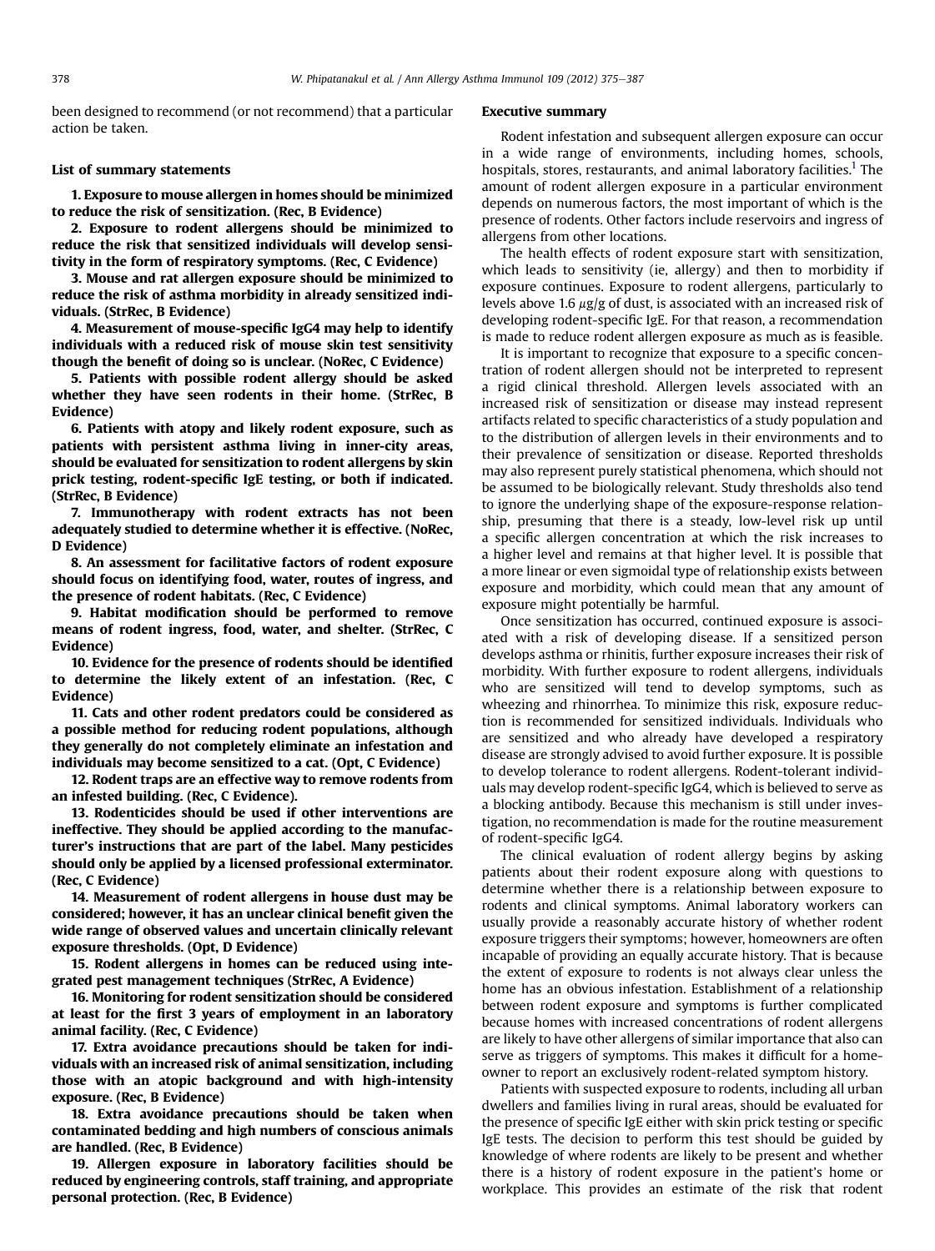378 W. Phipatanakul et al. / Ann Allergy Asthma Immunol 109 (2012) 375-387

been designed to recommend (or not recommend) that a particular action be taken.

#### List of summary statements

1. Exposure to mouse allergen in homes should be minimized to reduce the risk of sensitization. (Rec, B Evidence)

2. Exposure to rodent allergens should be minimized to reduce the risk that sensitized individuals will develop sensitivity in the form of respiratory symptoms. (Rec, C Evidence)

3. Mouse and rat allergen exposure should be minimized to reduce the risk of asthma morbidity in already sensitized individuals. (StrRec, B Evidence)

4. Measurement of mouse-specific IgG4 may help to identify individuals with a reduced risk of mouse skin test sensitivity though the benefit of doing so is unclear. (NoRec, C Evidence)

5. Patients with possible rodent allergy should be asked whether they have seen rodents in their home. (StrRec, B Evidence)

6. Patients with atopy and likely rodent exposure, such as patients with persistent asthma living in inner-city areas, should be evaluated for sensitization to rodent allergens by skin prick testing, rodent-specific IgE testing, or both if indicated. (StrRec, B Evidence)

7. Immunotherapy with rodent extracts has not been adequately studied to determine whether it is effective. (NoRec, D Evidence)

8. An assessment for facilitative factors of rodent exposure should focus on identifying food, water, routes of ingress, and the presence of rodent habitats. (Rec, C Evidence)

9. Habitat modification should be performed to remove means of rodent ingress, food, water, and shelter. (StrRec, C Evidence)

10. Evidence for the presence of rodents should be identified to determine the likely extent of an infestation. (Rec, C Evidence)

11. Cats and other rodent predators could be considered as a possible method for reducing rodent populations, although they generally do not completely eliminate an infestation and individuals may become sensitized to a cat. (Opt, C Evidence)

12. Rodent traps are an effective way to remove rodents from an infested building. (Rec, C Evidence).

13. Rodenticides should be used if other interventions are ineffective. They should be applied according to the manufacturer's instructions that are part of the label. Many pesticides should only be applied by a licensed professional exterminator. (Rec, C Evidence)

14. Measurement of rodent allergens in house dust may be considered; however, it has an unclear clinical benefit given the wide range of observed values and uncertain clinically relevant exposure thresholds. (Opt, D Evidence)

15. Rodent allergens in homes can be reduced using integrated pest management techniques (StrRec, A Evidence)

16. Monitoring for rodent sensitization should be considered at least for the first 3 years of employment in an laboratory animal facility. (Rec, C Evidence)

17. Extra avoidance precautions should be taken for individuals with an increased risk of animal sensitization, including those with an atopic background and with high-intensity exposure. (Rec, B Evidence)

18. Extra avoidance precautions should be taken when contaminated bedding and high numbers of conscious animals are handled. (Rec, B Evidence)

19. Allergen exposure in laboratory facilities should be reduced by engineering controls, staff training, and appropriate personal protection. (Rec, B Evidence)

# Executive summary

Rodent infestation and subsequent allergen exposure can occur in a wide range of environments, including homes, schools, hospitals, stores, restaurants, and animal laboratory facilities. $<sup>1</sup>$  The</sup> amount of rodent allergen exposure in a particular environment depends on numerous factors, the most important of which is the presence of rodents. Other factors include reservoirs and ingress of allergens from other locations.

The health effects of rodent exposure start with sensitization, which leads to sensitivity (ie, allergy) and then to morbidity if exposure continues. Exposure to rodent allergens, particularly to levels above 1.6  $\mu$ g/g of dust, is associated with an increased risk of developing rodent-specific IgE. For that reason, a recommendation is made to reduce rodent allergen exposure as much as is feasible.

It is important to recognize that exposure to a specific concentration of rodent allergen should not be interpreted to represent a rigid clinical threshold. Allergen levels associated with an increased risk of sensitization or disease may instead represent artifacts related to specific characteristics of a study population and to the distribution of allergen levels in their environments and to their prevalence of sensitization or disease. Reported thresholds may also represent purely statistical phenomena, which should not be assumed to be biologically relevant. Study thresholds also tend to ignore the underlying shape of the exposure-response relationship, presuming that there is a steady, low-level risk up until a specific allergen concentration at which the risk increases to a higher level and remains at that higher level. It is possible that a more linear or even sigmoidal type of relationship exists between exposure and morbidity, which could mean that any amount of exposure might potentially be harmful.

Once sensitization has occurred, continued exposure is associated with a risk of developing disease. If a sensitized person develops asthma or rhinitis, further exposure increases their risk of morbidity. With further exposure to rodent allergens, individuals who are sensitized will tend to develop symptoms, such as wheezing and rhinorrhea. To minimize this risk, exposure reduction is recommended for sensitized individuals. Individuals who are sensitized and who already have developed a respiratory disease are strongly advised to avoid further exposure. It is possible to develop tolerance to rodent allergens. Rodent-tolerant individuals may develop rodent-specific IgG4, which is believed to serve as a blocking antibody. Because this mechanism is still under investigation, no recommendation is made for the routine measurement of rodent-specific IgG4.

The clinical evaluation of rodent allergy begins by asking patients about their rodent exposure along with questions to determine whether there is a relationship between exposure to rodents and clinical symptoms. Animal laboratory workers can usually provide a reasonably accurate history of whether rodent exposure triggers their symptoms; however, homeowners are often incapable of providing an equally accurate history. That is because the extent of exposure to rodents is not always clear unless the home has an obvious infestation. Establishment of a relationship between rodent exposure and symptoms is further complicated because homes with increased concentrations of rodent allergens are likely to have other allergens of similar importance that also can serve as triggers of symptoms. This makes it difficult for a homeowner to report an exclusively rodent-related symptom history.

Patients with suspected exposure to rodents, including all urban dwellers and families living in rural areas, should be evaluated for the presence of specific IgE either with skin prick testing or specific IgE tests. The decision to perform this test should be guided by knowledge of where rodents are likely to be present and whether there is a history of rodent exposure in the patient's home or workplace. This provides an estimate of the risk that rodent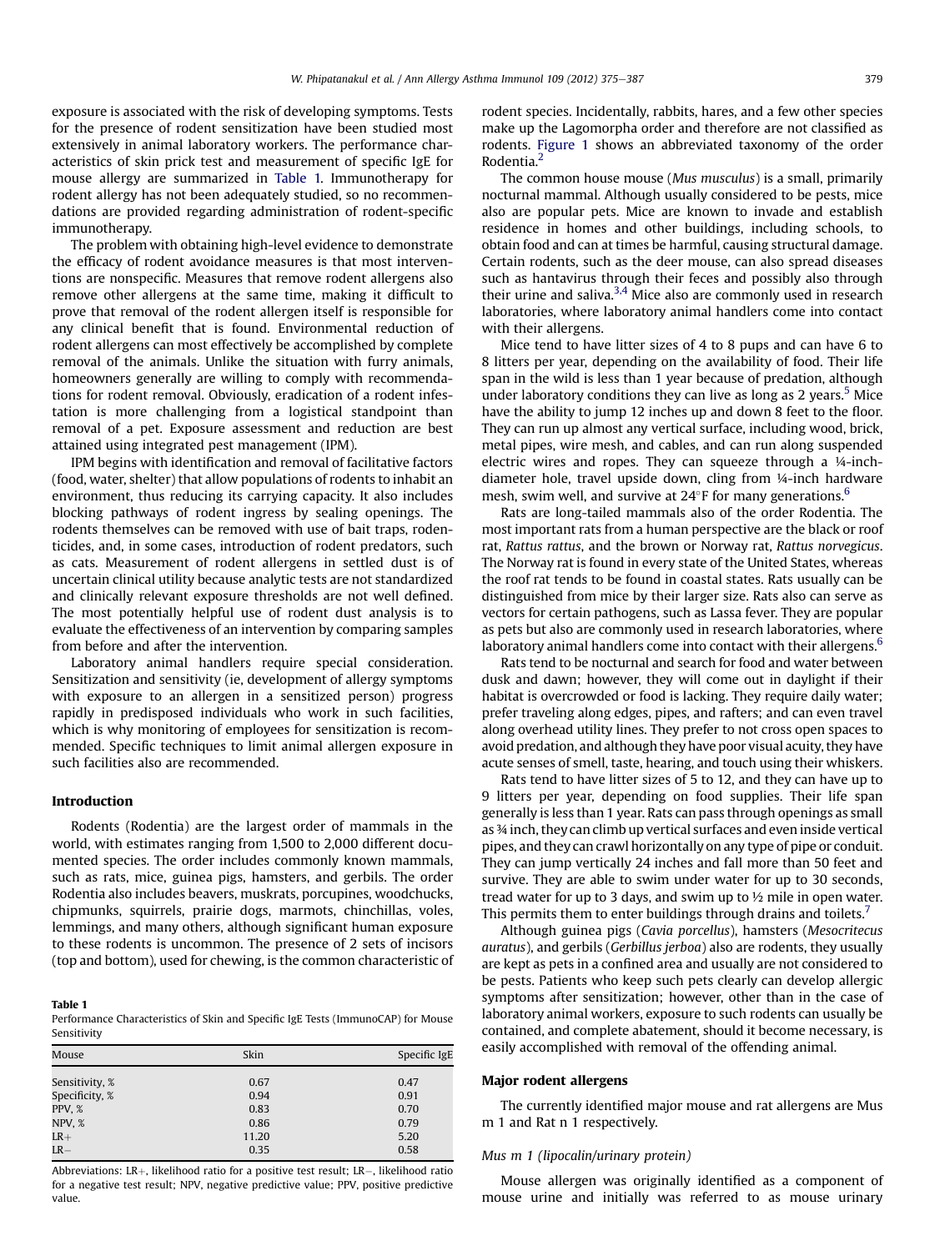<span id="page-4-0"></span>exposure is associated with the risk of developing symptoms. Tests for the presence of rodent sensitization have been studied most extensively in animal laboratory workers. The performance characteristics of skin prick test and measurement of specific IgE for mouse allergy are summarized in Table 1. Immunotherapy for rodent allergy has not been adequately studied, so no recommendations are provided regarding administration of rodent-specific immunotherapy.

The problem with obtaining high-level evidence to demonstrate the efficacy of rodent avoidance measures is that most interventions are nonspecific. Measures that remove rodent allergens also remove other allergens at the same time, making it difficult to prove that removal of the rodent allergen itself is responsible for any clinical benefit that is found. Environmental reduction of rodent allergens can most effectively be accomplished by complete removal of the animals. Unlike the situation with furry animals, homeowners generally are willing to comply with recommendations for rodent removal. Obviously, eradication of a rodent infestation is more challenging from a logistical standpoint than removal of a pet. Exposure assessment and reduction are best attained using integrated pest management (IPM).

IPM begins with identification and removal of facilitative factors (food, water, shelter) that allow populations of rodents to inhabit an environment, thus reducing its carrying capacity. It also includes blocking pathways of rodent ingress by sealing openings. The rodents themselves can be removed with use of bait traps, rodenticides, and, in some cases, introduction of rodent predators, such as cats. Measurement of rodent allergens in settled dust is of uncertain clinical utility because analytic tests are not standardized and clinically relevant exposure thresholds are not well defined. The most potentially helpful use of rodent dust analysis is to evaluate the effectiveness of an intervention by comparing samples from before and after the intervention.

Laboratory animal handlers require special consideration. Sensitization and sensitivity (ie, development of allergy symptoms with exposure to an allergen in a sensitized person) progress rapidly in predisposed individuals who work in such facilities, which is why monitoring of employees for sensitization is recommended. Specific techniques to limit animal allergen exposure in such facilities also are recommended.

### Introduction

Rodents (Rodentia) are the largest order of mammals in the world, with estimates ranging from 1,500 to 2,000 different documented species. The order includes commonly known mammals, such as rats, mice, guinea pigs, hamsters, and gerbils. The order Rodentia also includes beavers, muskrats, porcupines, woodchucks, chipmunks, squirrels, prairie dogs, marmots, chinchillas, voles, lemmings, and many others, although significant human exposure to these rodents is uncommon. The presence of 2 sets of incisors (top and bottom), used for chewing, is the common characteristic of

#### Table 1

Performance Characteristics of Skin and Specific IgE Tests (ImmunoCAP) for Mouse Sensitivity

| Mouse          | Skin  | Specific IgE |
|----------------|-------|--------------|
| Sensitivity, % | 0.67  | 0.47         |
| Specificity, % | 0.94  | 0.91         |
| PPV, %         | 0.83  | 0.70         |
| NPV, %         | 0.86  | 0.79         |
| $LR+$          | 11.20 | 5.20         |
| $LR-$          | 0.35  | 0.58         |
|                |       |              |

Abbreviations: LR+, likelihood ratio for a positive test result; LR-, likelihood ratio for a negative test result; NPV, negative predictive value; PPV, positive predictive value.

rodent species. Incidentally, rabbits, hares, and a few other species make up the Lagomorpha order and therefore are not classified as rodents. [Figure 1](#page-5-0) shows an abbreviated taxonomy of the order Rodentia.<sup>[2](#page-11-0)</sup>

The common house mouse (Mus musculus) is a small, primarily nocturnal mammal. Although usually considered to be pests, mice also are popular pets. Mice are known to invade and establish residence in homes and other buildings, including schools, to obtain food and can at times be harmful, causing structural damage. Certain rodents, such as the deer mouse, can also spread diseases such as hantavirus through their feces and possibly also through their urine and saliva.<sup>3,4</sup> Mice also are commonly used in research laboratories, where laboratory animal handlers come into contact with their allergens.

Mice tend to have litter sizes of 4 to 8 pups and can have 6 to 8 litters per year, depending on the availability of food. Their life span in the wild is less than 1 year because of predation, although under laboratory conditions they can live as long as 2 years. $5$  Mice have the ability to jump 12 inches up and down 8 feet to the floor. They can run up almost any vertical surface, including wood, brick, metal pipes, wire mesh, and cables, and can run along suspended electric wires and ropes. They can squeeze through a ¼-inchdiameter hole, travel upside down, cling from ¼-inch hardware mesh, swim well, and survive at 24 $\degree$ F for many generations.<sup>6</sup>

Rats are long-tailed mammals also of the order Rodentia. The most important rats from a human perspective are the black or roof rat, Rattus rattus, and the brown or Norway rat, Rattus norvegicus. The Norway rat is found in every state of the United States, whereas the roof rat tends to be found in coastal states. Rats usually can be distinguished from mice by their larger size. Rats also can serve as vectors for certain pathogens, such as Lassa fever. They are popular as pets but also are commonly used in research laboratories, where laboratory animal handlers come into contact with their allergens.<sup>[6](#page-11-0)</sup>

Rats tend to be nocturnal and search for food and water between dusk and dawn; however, they will come out in daylight if their habitat is overcrowded or food is lacking. They require daily water; prefer traveling along edges, pipes, and rafters; and can even travel along overhead utility lines. They prefer to not cross open spaces to avoid predation, and although they have poor visual acuity, they have acute senses of smell, taste, hearing, and touch using their whiskers.

Rats tend to have litter sizes of 5 to 12, and they can have up to 9 litters per year, depending on food supplies. Their life span generally is less than 1 year. Rats can pass through openings as small as ¾ inch, they can climb up vertical surfaces and even inside vertical pipes, and they can crawl horizontally on any type of pipe or conduit. They can jump vertically 24 inches and fall more than 50 feet and survive. They are able to swim under water for up to 30 seconds, tread water for up to 3 days, and swim up to ½ mile in open water. This permits them to enter buildings through drains and toilets.<sup>7</sup>

Although guinea pigs (Cavia porcellus), hamsters (Mesocritecus auratus), and gerbils (Gerbillus jerboa) also are rodents, they usually are kept as pets in a confined area and usually are not considered to be pests. Patients who keep such pets clearly can develop allergic symptoms after sensitization; however, other than in the case of laboratory animal workers, exposure to such rodents can usually be contained, and complete abatement, should it become necessary, is easily accomplished with removal of the offending animal.

### Major rodent allergens

The currently identified major mouse and rat allergens are Mus m 1 and Rat n 1 respectively.

#### Mus m 1 (lipocalin/urinary protein)

Mouse allergen was originally identified as a component of mouse urine and initially was referred to as mouse urinary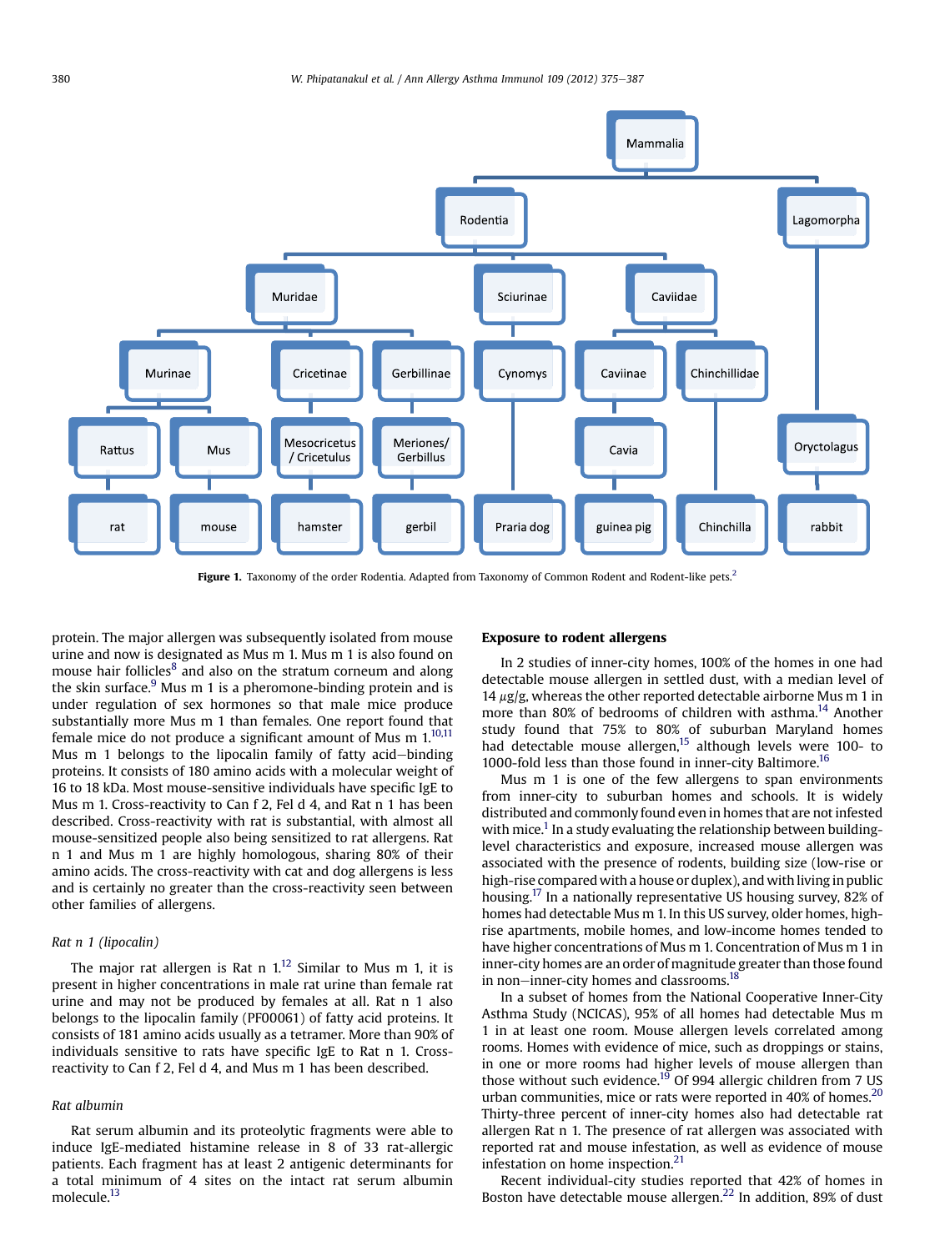<span id="page-5-0"></span>

Figure 1. Taxonomy of the order Rodentia. Adapted from Taxonomy of Common Rodent and Rodent-like pets.<sup>[2](#page-11-0)</sup>

protein. The major allergen was subsequently isolated from mouse urine and now is designated as Mus m 1. Mus m 1 is also found on mouse hair follicles $8$  and also on the stratum corneum and along the skin surface. $9$  Mus m 1 is a pheromone-binding protein and is under regulation of sex hormones so that male mice produce substantially more Mus m 1 than females. One report found that female mice do not produce a significant amount of Mus m  $1^{10,11}$  $1^{10,11}$  $1^{10,11}$ Mus  $m_1$  belongs to the lipocalin family of fatty acid-binding proteins. It consists of 180 amino acids with a molecular weight of 16 to 18 kDa. Most mouse-sensitive individuals have specific IgE to Mus m 1. Cross-reactivity to Can f 2, Fel d 4, and Rat n 1 has been described. Cross-reactivity with rat is substantial, with almost all mouse-sensitized people also being sensitized to rat allergens. Rat n 1 and Mus m 1 are highly homologous, sharing 80% of their amino acids. The cross-reactivity with cat and dog allergens is less and is certainly no greater than the cross-reactivity seen between other families of allergens.

### Rat n 1 (lipocalin)

The major rat allergen is Rat n  $1^{12}$  Similar to Mus m 1, it is present in higher concentrations in male rat urine than female rat urine and may not be produced by females at all. Rat n 1 also belongs to the lipocalin family (PF00061) of fatty acid proteins. It consists of 181 amino acids usually as a tetramer. More than 90% of individuals sensitive to rats have specific IgE to Rat n 1. Crossreactivity to Can f 2, Fel d 4, and Mus m 1 has been described.

### Rat albumin

Rat serum albumin and its proteolytic fragments were able to induce IgE-mediated histamine release in 8 of 33 rat-allergic patients. Each fragment has at least 2 antigenic determinants for a total minimum of 4 sites on the intact rat serum albumin molecule.<sup>[13](#page-11-0)</sup>

### Exposure to rodent allergens

In 2 studies of inner-city homes, 100% of the homes in one had detectable mouse allergen in settled dust, with a median level of 14  $\mu$ g/g, whereas the other reported detectable airborne Mus m 1 in more than 80% of bedrooms of children with asthma.<sup>[14](#page-11-0)</sup> Another study found that 75% to 80% of suburban Maryland homes had detectable mouse allergen,<sup>15</sup> although levels were 100- to 1000-fold less than those found in inner-city Baltimore.<sup>[16](#page-11-0)</sup>

Mus m 1 is one of the few allergens to span environments from inner-city to suburban homes and schools. It is widely distributed and commonly found even in homes that are not infested with mice.<sup>1</sup> In a study evaluating the relationship between buildinglevel characteristics and exposure, increased mouse allergen was associated with the presence of rodents, building size (low-rise or high-rise compared with a house or duplex), and with living in public housing[.17](#page-11-0) In a nationally representative US housing survey, 82% of homes had detectable Mus m 1. In this US survey, older homes, highrise apartments, mobile homes, and low-income homes tended to have higher concentrations of Mus m 1. Concentration of Mus m 1 in inner-city homes are an order of magnitude greater than those found in non-inner-city homes and classrooms.<sup>[18](#page-11-0)</sup>

In a subset of homes from the National Cooperative Inner-City Asthma Study (NCICAS), 95% of all homes had detectable Mus m 1 in at least one room. Mouse allergen levels correlated among rooms. Homes with evidence of mice, such as droppings or stains, in one or more rooms had higher levels of mouse allergen than those without such evidence.<sup>[19](#page-11-0)</sup> Of 994 allergic children from 7 US urban communities, mice or rats were reported in 40% of homes. $^{20}$ Thirty-three percent of inner-city homes also had detectable rat allergen Rat n 1. The presence of rat allergen was associated with reported rat and mouse infestation, as well as evidence of mouse infestation on home inspection.<sup>[21](#page-11-0)</sup>

Recent individual-city studies reported that 42% of homes in Boston have detectable mouse allergen.<sup>[22](#page-11-0)</sup> In addition, 89% of dust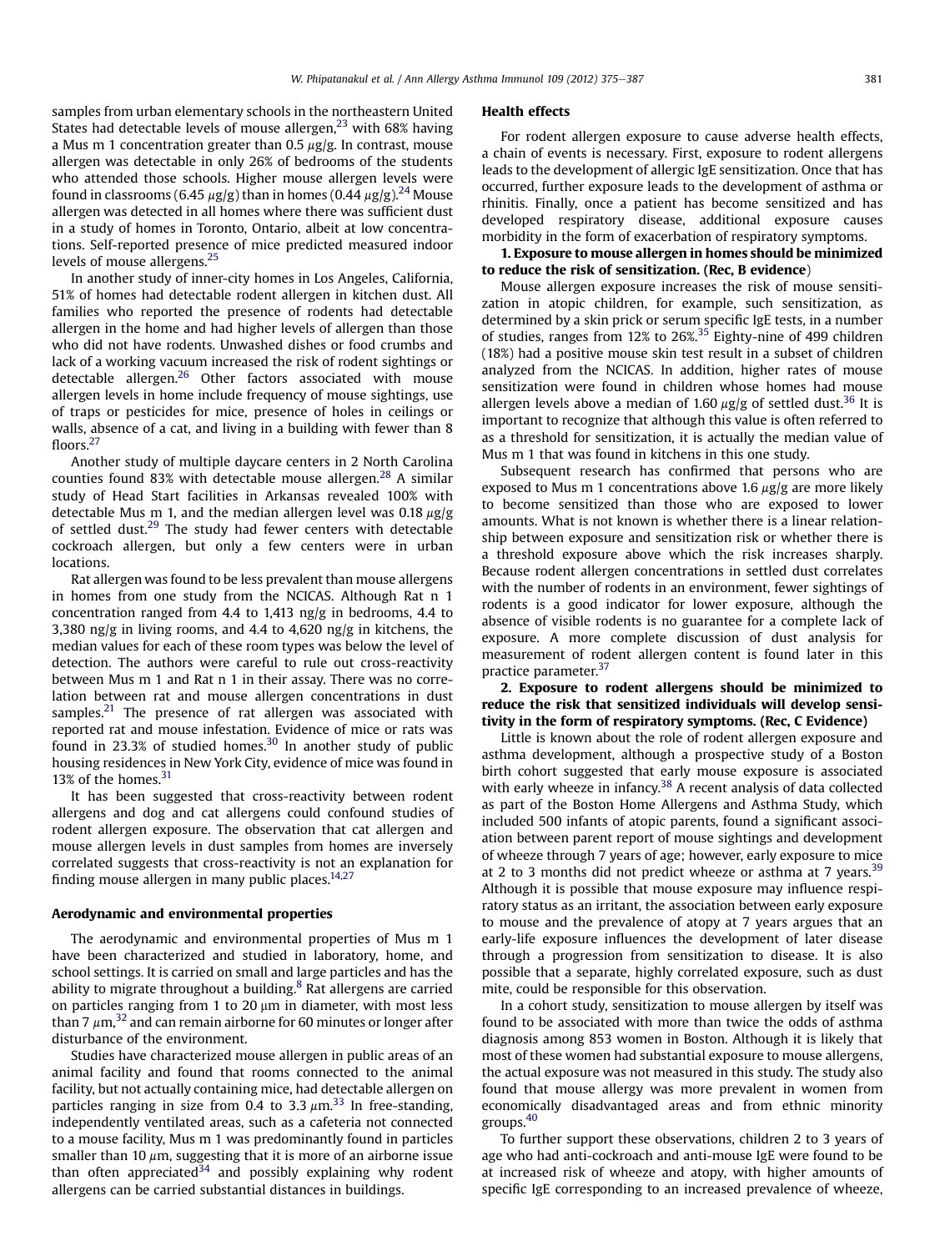samples from urban elementary schools in the northeastern United States had detectable levels of mouse allergen, $^{23}$  $^{23}$  $^{23}$  with 68% having a Mus m 1 concentration greater than 0.5  $\mu$ g/g. In contrast, mouse allergen was detectable in only 26% of bedrooms of the students who attended those schools. Higher mouse allergen levels were found in classrooms (6.45  $\mu$ g/g) than in homes (0.44  $\mu$ g/g).<sup>[24](#page-11-0)</sup> Mouse allergen was detected in all homes where there was sufficient dust in a study of homes in Toronto, Ontario, albeit at low concentrations. Self-reported presence of mice predicted measured indoor levels of mouse allergens.<sup>[25](#page-11-0)</sup>

In another study of inner-city homes in Los Angeles, California, 51% of homes had detectable rodent allergen in kitchen dust. All families who reported the presence of rodents had detectable allergen in the home and had higher levels of allergen than those who did not have rodents. Unwashed dishes or food crumbs and lack of a working vacuum increased the risk of rodent sightings or detectable allergen[.26](#page-11-0) Other factors associated with mouse allergen levels in home include frequency of mouse sightings, use of traps or pesticides for mice, presence of holes in ceilings or walls, absence of a cat, and living in a building with fewer than 8 floors.<sup>[27](#page-11-0)</sup>

Another study of multiple daycare centers in 2 North Carolina counties found 83% with detectable mouse allergen.<sup>[28](#page-11-0)</sup> A similar study of Head Start facilities in Arkansas revealed 100% with detectable Mus m 1, and the median allergen level was 0.18  $\mu$ g/g of settled dust. $29$  The study had fewer centers with detectable cockroach allergen, but only a few centers were in urban locations.

Rat allergen was found to be less prevalent than mouse allergens in homes from one study from the NCICAS. Although Rat n 1 concentration ranged from 4.4 to 1,413 ng/g in bedrooms, 4.4 to 3,380 ng/g in living rooms, and 4.4 to 4,620 ng/g in kitchens, the median values for each of these room types was below the level of detection. The authors were careful to rule out cross-reactivity between Mus m 1 and Rat n 1 in their assay. There was no correlation between rat and mouse allergen concentrations in dust samples. $21$  The presence of rat allergen was associated with reported rat and mouse infestation. Evidence of mice or rats was found in 23.3% of studied homes. $30$  In another study of public housing residences in New York City, evidence of mice was found in 13% of the homes. $31$ 

It has been suggested that cross-reactivity between rodent allergens and dog and cat allergens could confound studies of rodent allergen exposure. The observation that cat allergen and mouse allergen levels in dust samples from homes are inversely correlated suggests that cross-reactivity is not an explanation for finding mouse allergen in many public places. $14,27$ 

### Aerodynamic and environmental properties

The aerodynamic and environmental properties of Mus m 1 have been characterized and studied in laboratory, home, and school settings. It is carried on small and large particles and has the ability to migrate throughout a building. $8$  Rat allergens are carried on particles ranging from 1 to 20  $\mu$ m in diameter, with most less than 7  $\mu$ m,<sup>32</sup> and can remain airborne for 60 minutes or longer after disturbance of the environment.

Studies have characterized mouse allergen in public areas of an animal facility and found that rooms connected to the animal facility, but not actually containing mice, had detectable allergen on particles ranging in size from 0.4 to 3.3  $\mu$ m.<sup>33</sup> In free-standing, independently ventilated areas, such as a cafeteria not connected to a mouse facility, Mus m 1 was predominantly found in particles smaller than 10  $\mu$ m, suggesting that it is more of an airborne issue than often appreciated $34$  and possibly explaining why rodent allergens can be carried substantial distances in buildings.

### Health effects

For rodent allergen exposure to cause adverse health effects, a chain of events is necessary. First, exposure to rodent allergens leads to the development of allergic IgE sensitization. Once that has occurred, further exposure leads to the development of asthma or rhinitis. Finally, once a patient has become sensitized and has developed respiratory disease, additional exposure causes morbidity in the form of exacerbation of respiratory symptoms.

1. Exposure to mouse allergen in homes should be minimized to reduce the risk of sensitization. (Rec, B evidence)

Mouse allergen exposure increases the risk of mouse sensitization in atopic children, for example, such sensitization, as determined by a skin prick or serum specific IgE tests, in a number of studies, ranges from 12% to 26%.[35](#page-11-0) Eighty-nine of 499 children (18%) had a positive mouse skin test result in a subset of children analyzed from the NCICAS. In addition, higher rates of mouse sensitization were found in children whose homes had mouse allergen levels above a median of 1.60  $\mu$ g/g of settled dust.<sup>[36](#page-11-0)</sup> It is important to recognize that although this value is often referred to as a threshold for sensitization, it is actually the median value of Mus m 1 that was found in kitchens in this one study.

Subsequent research has confirmed that persons who are exposed to Mus m 1 concentrations above 1.6  $\mu$ g/g are more likely to become sensitized than those who are exposed to lower amounts. What is not known is whether there is a linear relationship between exposure and sensitization risk or whether there is a threshold exposure above which the risk increases sharply. Because rodent allergen concentrations in settled dust correlates with the number of rodents in an environment, fewer sightings of rodents is a good indicator for lower exposure, although the absence of visible rodents is no guarantee for a complete lack of exposure. A more complete discussion of dust analysis for measurement of rodent allergen content is found later in this practice parameter.<sup>[37](#page-11-0)</sup>

2. Exposure to rodent allergens should be minimized to reduce the risk that sensitized individuals will develop sensitivity in the form of respiratory symptoms. (Rec, C Evidence)

Little is known about the role of rodent allergen exposure and asthma development, although a prospective study of a Boston birth cohort suggested that early mouse exposure is associated with early wheeze in infancy. $38$  A recent analysis of data collected as part of the Boston Home Allergens and Asthma Study, which included 500 infants of atopic parents, found a significant association between parent report of mouse sightings and development of wheeze through 7 years of age; however, early exposure to mice at 2 to 3 months did not predict wheeze or asthma at 7 years.  $39$ Although it is possible that mouse exposure may influence respiratory status as an irritant, the association between early exposure to mouse and the prevalence of atopy at 7 years argues that an early-life exposure influences the development of later disease through a progression from sensitization to disease. It is also possible that a separate, highly correlated exposure, such as dust mite, could be responsible for this observation.

In a cohort study, sensitization to mouse allergen by itself was found to be associated with more than twice the odds of asthma diagnosis among 853 women in Boston. Although it is likely that most of these women had substantial exposure to mouse allergens, the actual exposure was not measured in this study. The study also found that mouse allergy was more prevalent in women from economically disadvantaged areas and from ethnic minority groups.[40](#page-12-0)

To further support these observations, children 2 to 3 years of age who had anti-cockroach and anti-mouse IgE were found to be at increased risk of wheeze and atopy, with higher amounts of specific IgE corresponding to an increased prevalence of wheeze,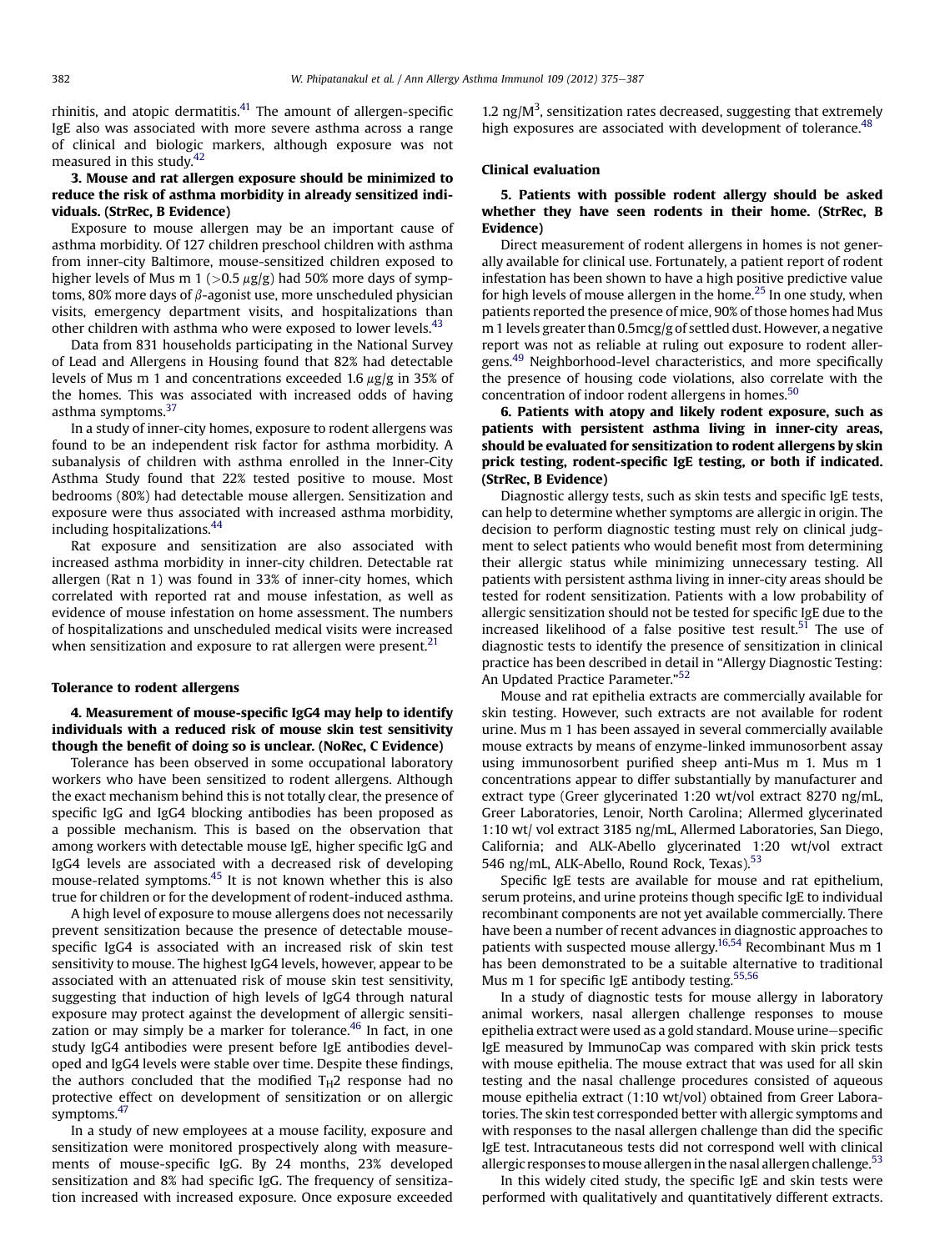rhinitis, and atopic dermatitis. $41$  The amount of allergen-specific IgE also was associated with more severe asthma across a range of clinical and biologic markers, although exposure was not measured in this study.<sup>[42](#page-12-0)</sup>

# 3. Mouse and rat allergen exposure should be minimized to reduce the risk of asthma morbidity in already sensitized individuals. (StrRec, B Evidence)

Exposure to mouse allergen may be an important cause of asthma morbidity. Of 127 children preschool children with asthma from inner-city Baltimore, mouse-sensitized children exposed to higher levels of Mus m 1 ( $>0.5 \mu g/g$ ) had 50% more days of symptoms, 80% more days of  $\beta$ -agonist use, more unscheduled physician visits, emergency department visits, and hospitalizations than other children with asthma who were exposed to lower levels.<sup>[43](#page-12-0)</sup>

Data from 831 households participating in the National Survey of Lead and Allergens in Housing found that 82% had detectable levels of Mus m 1 and concentrations exceeded 1.6  $\mu$ g/g in 35% of the homes. This was associated with increased odds of having asthma symptoms. $37$ 

In a study of inner-city homes, exposure to rodent allergens was found to be an independent risk factor for asthma morbidity. A subanalysis of children with asthma enrolled in the Inner-City Asthma Study found that 22% tested positive to mouse. Most bedrooms (80%) had detectable mouse allergen. Sensitization and exposure were thus associated with increased asthma morbidity, including hospitalizations.[44](#page-12-0)

Rat exposure and sensitization are also associated with increased asthma morbidity in inner-city children. Detectable rat allergen (Rat n 1) was found in 33% of inner-city homes, which correlated with reported rat and mouse infestation, as well as evidence of mouse infestation on home assessment. The numbers of hospitalizations and unscheduled medical visits were increased when sensitization and exposure to rat allergen were present. $2<sup>1</sup>$ 

### Tolerance to rodent allergens

4. Measurement of mouse-specific IgG4 may help to identify individuals with a reduced risk of mouse skin test sensitivity though the benefit of doing so is unclear. (NoRec, C Evidence)

Tolerance has been observed in some occupational laboratory workers who have been sensitized to rodent allergens. Although the exact mechanism behind this is not totally clear, the presence of specific IgG and IgG4 blocking antibodies has been proposed as a possible mechanism. This is based on the observation that among workers with detectable mouse IgE, higher specific IgG and IgG4 levels are associated with a decreased risk of developing mouse-related symptoms.<sup>[45](#page-12-0)</sup> It is not known whether this is also true for children or for the development of rodent-induced asthma.

A high level of exposure to mouse allergens does not necessarily prevent sensitization because the presence of detectable mousespecific IgG4 is associated with an increased risk of skin test sensitivity to mouse. The highest IgG4 levels, however, appear to be associated with an attenuated risk of mouse skin test sensitivity, suggesting that induction of high levels of IgG4 through natural exposure may protect against the development of allergic sensitization or may simply be a marker for tolerance.<sup>46</sup> In fact, in one study IgG4 antibodies were present before IgE antibodies developed and IgG4 levels were stable over time. Despite these findings, the authors concluded that the modified  $T_H2$  response had no protective effect on development of sensitization or on allergic symptoms.<sup>[47](#page-12-0)</sup>

In a study of new employees at a mouse facility, exposure and sensitization were monitored prospectively along with measurements of mouse-specific IgG. By 24 months, 23% developed sensitization and 8% had specific IgG. The frequency of sensitization increased with increased exposure. Once exposure exceeded

1.2 ng/ $M^3$ , sensitization rates decreased, suggesting that extremely high exposures are associated with development of tolerance.<sup>[48](#page-12-0)</sup>

### Clinical evaluation

### 5. Patients with possible rodent allergy should be asked whether they have seen rodents in their home. (StrRec, B Evidence)

Direct measurement of rodent allergens in homes is not generally available for clinical use. Fortunately, a patient report of rodent infestation has been shown to have a high positive predictive value for high levels of mouse allergen in the home.<sup>[25](#page-11-0)</sup> In one study, when patients reported the presence of mice, 90% of those homes had Mus m 1 levels greater than 0.5mcg/g of settled dust. However, a negative report was not as reliable at ruling out exposure to rodent aller-gens.<sup>[49](#page-12-0)</sup> Neighborhood-level characteristics, and more specifically the presence of housing code violations, also correlate with the concentration of indoor rodent allergens in homes.<sup>[50](#page-12-0)</sup>

6. Patients with atopy and likely rodent exposure, such as patients with persistent asthma living in inner-city areas, should be evaluated for sensitization to rodent allergens by skin prick testing, rodent-specific IgE testing, or both if indicated. (StrRec, B Evidence)

Diagnostic allergy tests, such as skin tests and specific IgE tests, can help to determine whether symptoms are allergic in origin. The decision to perform diagnostic testing must rely on clinical judgment to select patients who would benefit most from determining their allergic status while minimizing unnecessary testing. All patients with persistent asthma living in inner-city areas should be tested for rodent sensitization. Patients with a low probability of allergic sensitization should not be tested for specific IgE due to the increased likelihood of a false positive test result.<sup>[51](#page-12-0)</sup> The use of diagnostic tests to identify the presence of sensitization in clinical practice has been described in detail in "Allergy Diagnostic Testing: An Updated Practice Parameter." [52](#page-12-0)

Mouse and rat epithelia extracts are commercially available for skin testing. However, such extracts are not available for rodent urine. Mus m 1 has been assayed in several commercially available mouse extracts by means of enzyme-linked immunosorbent assay using immunosorbent purified sheep anti-Mus m 1. Mus m 1 concentrations appear to differ substantially by manufacturer and extract type (Greer glycerinated 1:20 wt/vol extract 8270 ng/mL, Greer Laboratories, Lenoir, North Carolina; Allermed glycerinated 1:10 wt/ vol extract 3185 ng/mL, Allermed Laboratories, San Diego, California; and ALK-Abello glycerinated 1:20 wt/vol extract 546 ng/mL, ALK-Abello, Round Rock, Texas).<sup>[53](#page-12-0)</sup>

Specific IgE tests are available for mouse and rat epithelium, serum proteins, and urine proteins though specific IgE to individual recombinant components are not yet available commercially. There have been a number of recent advances in diagnostic approaches to patients with suspected mouse allergy.<sup>16,54</sup> Recombinant Mus m 1 has been demonstrated to be a suitable alternative to traditional Mus m 1 for specific IgE antibody testing.<sup>[55,56](#page-12-0)</sup>

In a study of diagnostic tests for mouse allergy in laboratory animal workers, nasal allergen challenge responses to mouse epithelia extract were used as a gold standard. Mouse urine-specific IgE measured by ImmunoCap was compared with skin prick tests with mouse epithelia. The mouse extract that was used for all skin testing and the nasal challenge procedures consisted of aqueous mouse epithelia extract (1:10 wt/vol) obtained from Greer Laboratories. The skin test corresponded better with allergic symptoms and with responses to the nasal allergen challenge than did the specific IgE test. Intracutaneous tests did not correspond well with clinical allergic responses to mouse allergen in the nasal allergen challenge. $53$ 

In this widely cited study, the specific IgE and skin tests were performed with qualitatively and quantitatively different extracts.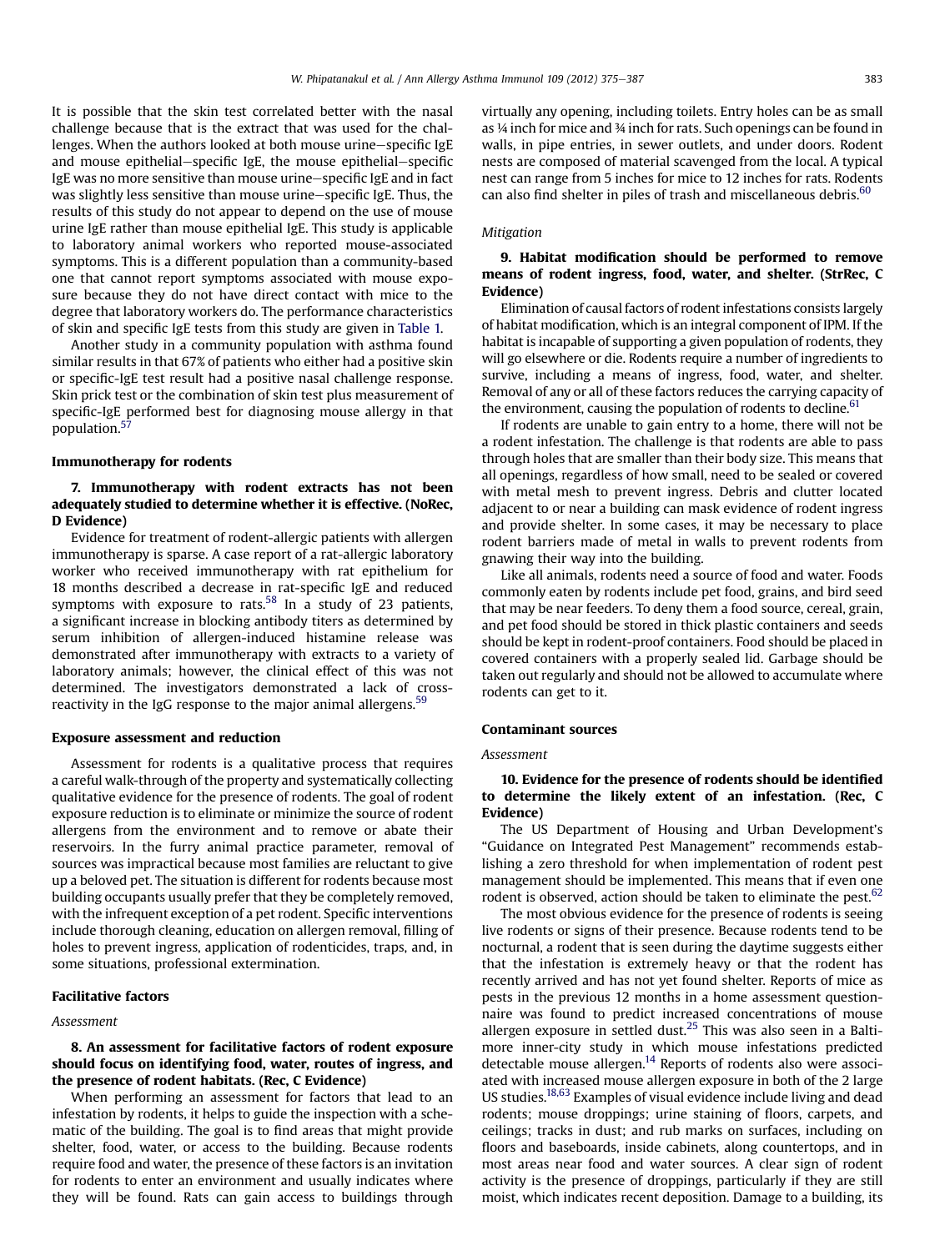It is possible that the skin test correlated better with the nasal challenge because that is the extract that was used for the challenges. When the authors looked at both mouse urine-specific IgE and mouse epithelial–specific IgE, the mouse epithelial–specific IgE was no more sensitive than mouse urine-specific IgE and in fact was slightly less sensitive than mouse urine–specific IgE. Thus, the results of this study do not appear to depend on the use of mouse urine IgE rather than mouse epithelial IgE. This study is applicable to laboratory animal workers who reported mouse-associated symptoms. This is a different population than a community-based one that cannot report symptoms associated with mouse exposure because they do not have direct contact with mice to the degree that laboratory workers do. The performance characteristics of skin and specific IgE tests from this study are given in [Table 1.](#page-4-0)

Another study in a community population with asthma found similar results in that 67% of patients who either had a positive skin or specific-IgE test result had a positive nasal challenge response. Skin prick test or the combination of skin test plus measurement of specific-IgE performed best for diagnosing mouse allergy in that population.<sup>5</sup>

#### Immunotherapy for rodents

# 7. Immunotherapy with rodent extracts has not been adequately studied to determine whether it is effective. (NoRec, D Evidence)

Evidence for treatment of rodent-allergic patients with allergen immunotherapy is sparse. A case report of a rat-allergic laboratory worker who received immunotherapy with rat epithelium for 18 months described a decrease in rat-specific IgE and reduced symptoms with exposure to rats.<sup>58</sup> In a study of 23 patients, a significant increase in blocking antibody titers as determined by serum inhibition of allergen-induced histamine release was demonstrated after immunotherapy with extracts to a variety of laboratory animals; however, the clinical effect of this was not determined. The investigators demonstrated a lack of cross-reactivity in the IgG response to the major animal allergens.<sup>[59](#page-12-0)</sup>

#### Exposure assessment and reduction

Assessment for rodents is a qualitative process that requires a careful walk-through of the property and systematically collecting qualitative evidence for the presence of rodents. The goal of rodent exposure reduction is to eliminate or minimize the source of rodent allergens from the environment and to remove or abate their reservoirs. In the furry animal practice parameter, removal of sources was impractical because most families are reluctant to give up a beloved pet. The situation is different for rodents because most building occupants usually prefer that they be completely removed, with the infrequent exception of a pet rodent. Specific interventions include thorough cleaning, education on allergen removal, filling of holes to prevent ingress, application of rodenticides, traps, and, in some situations, professional extermination.

#### Facilitative factors

#### Assessment

# 8. An assessment for facilitative factors of rodent exposure should focus on identifying food, water, routes of ingress, and the presence of rodent habitats. (Rec, C Evidence)

When performing an assessment for factors that lead to an infestation by rodents, it helps to guide the inspection with a schematic of the building. The goal is to find areas that might provide shelter, food, water, or access to the building. Because rodents require food and water, the presence of these factors is an invitation for rodents to enter an environment and usually indicates where they will be found. Rats can gain access to buildings through virtually any opening, including toilets. Entry holes can be as small as ¼ inch for mice and ¾ inch for rats. Such openings can be found in walls, in pipe entries, in sewer outlets, and under doors. Rodent nests are composed of material scavenged from the local. A typical nest can range from 5 inches for mice to 12 inches for rats. Rodents can also find shelter in piles of trash and miscellaneous debris.<sup>[60](#page-12-0)</sup>

#### Mitigation

### 9. Habitat modification should be performed to remove means of rodent ingress, food, water, and shelter. (StrRec, C Evidence)

Elimination of causal factors of rodent infestations consists largely of habitat modification, which is an integral component of IPM. If the habitat is incapable of supporting a given population of rodents, they will go elsewhere or die. Rodents require a number of ingredients to survive, including a means of ingress, food, water, and shelter. Removal of any or all of these factors reduces the carrying capacity of the environment, causing the population of rodents to decline. $61$ 

If rodents are unable to gain entry to a home, there will not be a rodent infestation. The challenge is that rodents are able to pass through holes that are smaller than their body size. This means that all openings, regardless of how small, need to be sealed or covered with metal mesh to prevent ingress. Debris and clutter located adjacent to or near a building can mask evidence of rodent ingress and provide shelter. In some cases, it may be necessary to place rodent barriers made of metal in walls to prevent rodents from gnawing their way into the building.

Like all animals, rodents need a source of food and water. Foods commonly eaten by rodents include pet food, grains, and bird seed that may be near feeders. To deny them a food source, cereal, grain, and pet food should be stored in thick plastic containers and seeds should be kept in rodent-proof containers. Food should be placed in covered containers with a properly sealed lid. Garbage should be taken out regularly and should not be allowed to accumulate where rodents can get to it.

### Contaminant sources

### Assessment

### 10. Evidence for the presence of rodents should be identified to determine the likely extent of an infestation. (Rec, C Evidence)

The US Department of Housing and Urban Development's "Guidance on Integrated Pest Management" recommends establishing a zero threshold for when implementation of rodent pest management should be implemented. This means that if even one rodent is observed, action should be taken to eliminate the pest.  $62$ 

The most obvious evidence for the presence of rodents is seeing live rodents or signs of their presence. Because rodents tend to be nocturnal, a rodent that is seen during the daytime suggests either that the infestation is extremely heavy or that the rodent has recently arrived and has not yet found shelter. Reports of mice as pests in the previous 12 months in a home assessment questionnaire was found to predict increased concentrations of mouse allergen exposure in settled dust.<sup>[25](#page-11-0)</sup> This was also seen in a Baltimore inner-city study in which mouse infestations predicted detectable mouse allergen.<sup>[14](#page-11-0)</sup> Reports of rodents also were associated with increased mouse allergen exposure in both of the 2 large US studies.<sup>18,63</sup> Examples of visual evidence include living and dead rodents; mouse droppings; urine staining of floors, carpets, and ceilings; tracks in dust; and rub marks on surfaces, including on floors and baseboards, inside cabinets, along countertops, and in most areas near food and water sources. A clear sign of rodent activity is the presence of droppings, particularly if they are still moist, which indicates recent deposition. Damage to a building, its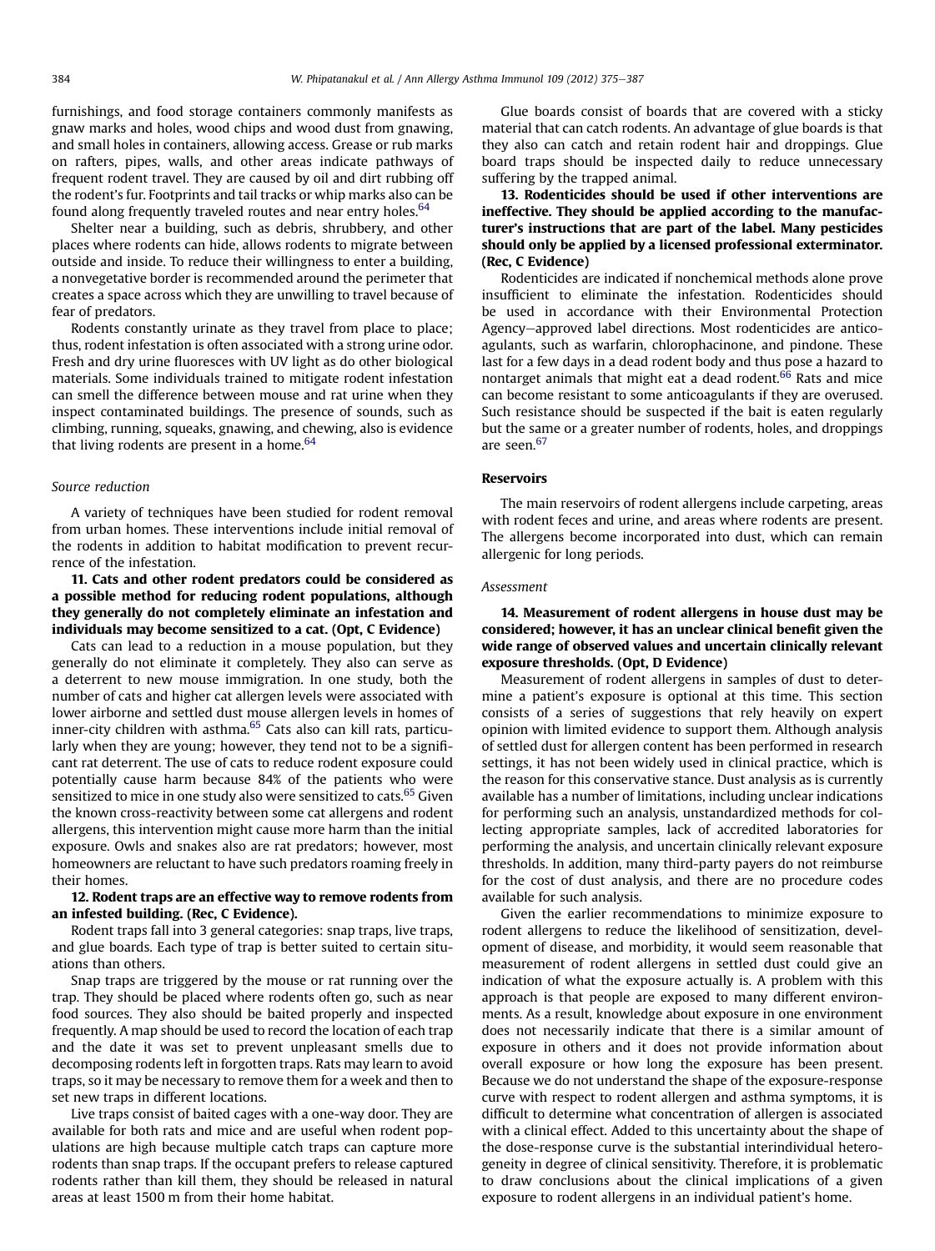furnishings, and food storage containers commonly manifests as gnaw marks and holes, wood chips and wood dust from gnawing, and small holes in containers, allowing access. Grease or rub marks on rafters, pipes, walls, and other areas indicate pathways of frequent rodent travel. They are caused by oil and dirt rubbing off the rodent's fur. Footprints and tail tracks or whip marks also can be found along frequently traveled routes and near entry holes.<sup>[64](#page-12-0)</sup>

Shelter near a building, such as debris, shrubbery, and other places where rodents can hide, allows rodents to migrate between outside and inside. To reduce their willingness to enter a building, a nonvegetative border is recommended around the perimeter that creates a space across which they are unwilling to travel because of fear of predators.

Rodents constantly urinate as they travel from place to place; thus, rodent infestation is often associated with a strong urine odor. Fresh and dry urine fluoresces with UV light as do other biological materials. Some individuals trained to mitigate rodent infestation can smell the difference between mouse and rat urine when they inspect contaminated buildings. The presence of sounds, such as climbing, running, squeaks, gnawing, and chewing, also is evidence that living rodents are present in a home. $64$ 

#### Source reduction

A variety of techniques have been studied for rodent removal from urban homes. These interventions include initial removal of the rodents in addition to habitat modification to prevent recurrence of the infestation.

# 11. Cats and other rodent predators could be considered as a possible method for reducing rodent populations, although they generally do not completely eliminate an infestation and individuals may become sensitized to a cat. (Opt, C Evidence)

Cats can lead to a reduction in a mouse population, but they generally do not eliminate it completely. They also can serve as a deterrent to new mouse immigration. In one study, both the number of cats and higher cat allergen levels were associated with lower airborne and settled dust mouse allergen levels in homes of inner-city children with asthma. $65$  Cats also can kill rats, particularly when they are young; however, they tend not to be a significant rat deterrent. The use of cats to reduce rodent exposure could potentially cause harm because 84% of the patients who were sensitized to mice in one study also were sensitized to cats.<sup>[65](#page-12-0)</sup> Given the known cross-reactivity between some cat allergens and rodent allergens, this intervention might cause more harm than the initial exposure. Owls and snakes also are rat predators; however, most homeowners are reluctant to have such predators roaming freely in their homes.

### 12. Rodent traps are an effective way to remove rodents from an infested building. (Rec, C Evidence).

Rodent traps fall into 3 general categories: snap traps, live traps, and glue boards. Each type of trap is better suited to certain situations than others.

Snap traps are triggered by the mouse or rat running over the trap. They should be placed where rodents often go, such as near food sources. They also should be baited properly and inspected frequently. A map should be used to record the location of each trap and the date it was set to prevent unpleasant smells due to decomposing rodents left in forgotten traps. Rats may learn to avoid traps, so it may be necessary to remove them for a week and then to set new traps in different locations.

Live traps consist of baited cages with a one-way door. They are available for both rats and mice and are useful when rodent populations are high because multiple catch traps can capture more rodents than snap traps. If the occupant prefers to release captured rodents rather than kill them, they should be released in natural areas at least 1500 m from their home habitat.

Glue boards consist of boards that are covered with a sticky material that can catch rodents. An advantage of glue boards is that they also can catch and retain rodent hair and droppings. Glue board traps should be inspected daily to reduce unnecessary suffering by the trapped animal.

13. Rodenticides should be used if other interventions are ineffective. They should be applied according to the manufacturer's instructions that are part of the label. Many pesticides should only be applied by a licensed professional exterminator. (Rec, C Evidence)

Rodenticides are indicated if nonchemical methods alone prove insufficient to eliminate the infestation. Rodenticides should be used in accordance with their Environmental Protection Agency-approved label directions. Most rodenticides are anticoagulants, such as warfarin, chlorophacinone, and pindone. These last for a few days in a dead rodent body and thus pose a hazard to nontarget animals that might eat a dead rodent.<sup>[66](#page-12-0)</sup> Rats and mice can become resistant to some anticoagulants if they are overused. Such resistance should be suspected if the bait is eaten regularly but the same or a greater number of rodents, holes, and droppings are seen.<sup>67</sup>

### **Reservoirs**

The main reservoirs of rodent allergens include carpeting, areas with rodent feces and urine, and areas where rodents are present. The allergens become incorporated into dust, which can remain allergenic for long periods.

#### Assessment

# 14. Measurement of rodent allergens in house dust may be considered; however, it has an unclear clinical benefit given the wide range of observed values and uncertain clinically relevant exposure thresholds. (Opt, D Evidence)

Measurement of rodent allergens in samples of dust to determine a patient's exposure is optional at this time. This section consists of a series of suggestions that rely heavily on expert opinion with limited evidence to support them. Although analysis of settled dust for allergen content has been performed in research settings, it has not been widely used in clinical practice, which is the reason for this conservative stance. Dust analysis as is currently available has a number of limitations, including unclear indications for performing such an analysis, unstandardized methods for collecting appropriate samples, lack of accredited laboratories for performing the analysis, and uncertain clinically relevant exposure thresholds. In addition, many third-party payers do not reimburse for the cost of dust analysis, and there are no procedure codes available for such analysis.

Given the earlier recommendations to minimize exposure to rodent allergens to reduce the likelihood of sensitization, development of disease, and morbidity, it would seem reasonable that measurement of rodent allergens in settled dust could give an indication of what the exposure actually is. A problem with this approach is that people are exposed to many different environments. As a result, knowledge about exposure in one environment does not necessarily indicate that there is a similar amount of exposure in others and it does not provide information about overall exposure or how long the exposure has been present. Because we do not understand the shape of the exposure-response curve with respect to rodent allergen and asthma symptoms, it is difficult to determine what concentration of allergen is associated with a clinical effect. Added to this uncertainty about the shape of the dose-response curve is the substantial interindividual heterogeneity in degree of clinical sensitivity. Therefore, it is problematic to draw conclusions about the clinical implications of a given exposure to rodent allergens in an individual patient's home.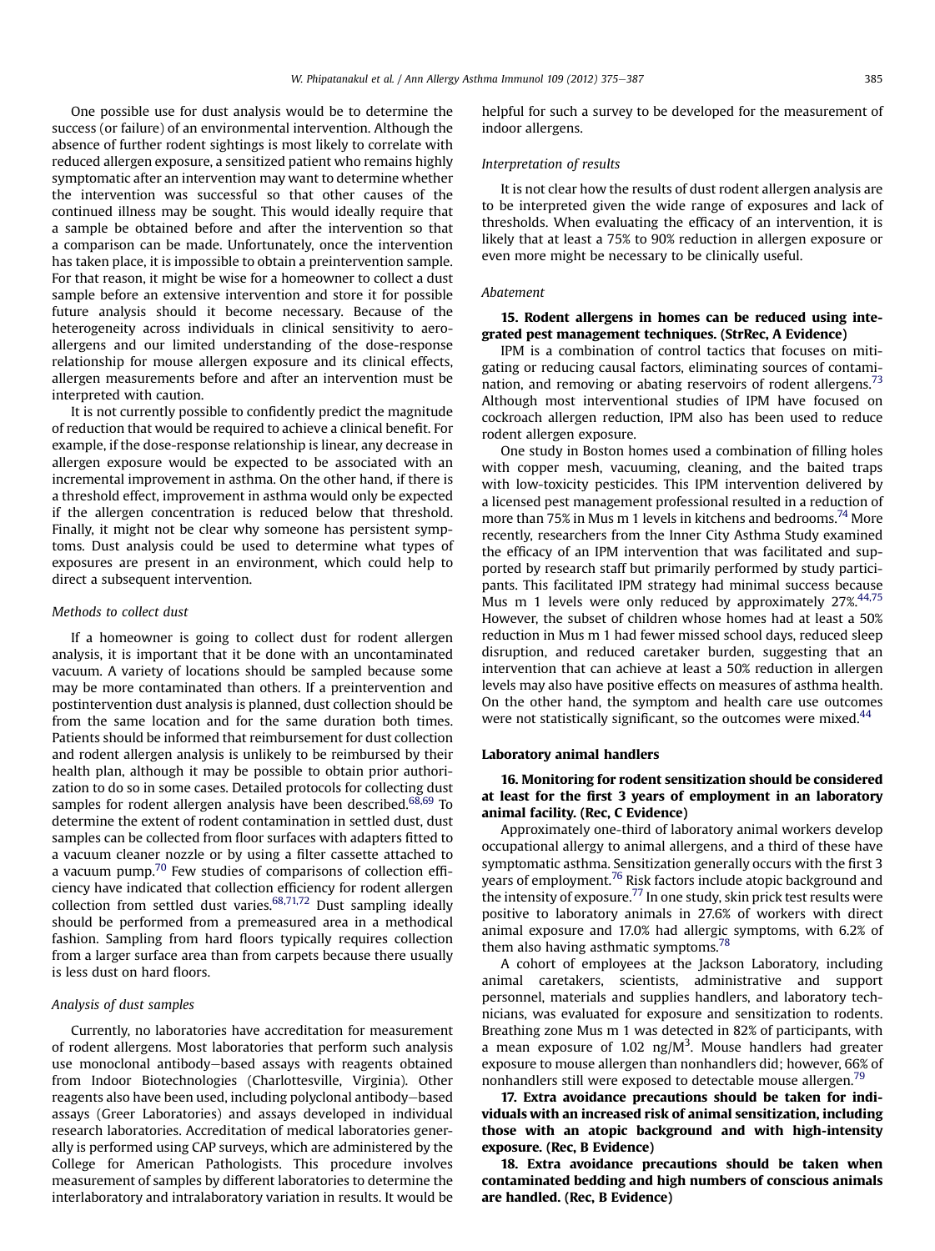One possible use for dust analysis would be to determine the success (or failure) of an environmental intervention. Although the absence of further rodent sightings is most likely to correlate with reduced allergen exposure, a sensitized patient who remains highly symptomatic after an intervention may want to determine whether the intervention was successful so that other causes of the continued illness may be sought. This would ideally require that a sample be obtained before and after the intervention so that a comparison can be made. Unfortunately, once the intervention has taken place, it is impossible to obtain a preintervention sample. For that reason, it might be wise for a homeowner to collect a dust sample before an extensive intervention and store it for possible future analysis should it become necessary. Because of the heterogeneity across individuals in clinical sensitivity to aeroallergens and our limited understanding of the dose-response relationship for mouse allergen exposure and its clinical effects, allergen measurements before and after an intervention must be interpreted with caution.

It is not currently possible to confidently predict the magnitude of reduction that would be required to achieve a clinical benefit. For example, if the dose-response relationship is linear, any decrease in allergen exposure would be expected to be associated with an incremental improvement in asthma. On the other hand, if there is a threshold effect, improvement in asthma would only be expected if the allergen concentration is reduced below that threshold. Finally, it might not be clear why someone has persistent symptoms. Dust analysis could be used to determine what types of exposures are present in an environment, which could help to direct a subsequent intervention.

#### Methods to collect dust

If a homeowner is going to collect dust for rodent allergen analysis, it is important that it be done with an uncontaminated vacuum. A variety of locations should be sampled because some may be more contaminated than others. If a preintervention and postintervention dust analysis is planned, dust collection should be from the same location and for the same duration both times. Patients should be informed that reimbursement for dust collection and rodent allergen analysis is unlikely to be reimbursed by their health plan, although it may be possible to obtain prior authorization to do so in some cases. Detailed protocols for collecting dust samples for rodent allergen analysis have been described.<sup>[68,69](#page-12-0)</sup> To determine the extent of rodent contamination in settled dust, dust samples can be collected from floor surfaces with adapters fitted to a vacuum cleaner nozzle or by using a filter cassette attached to a vacuum pump.<sup>70</sup> Few studies of comparisons of collection efficiency have indicated that collection efficiency for rodent allergen collection from settled dust varies. $68,71,72$  Dust sampling ideally should be performed from a premeasured area in a methodical fashion. Sampling from hard floors typically requires collection from a larger surface area than from carpets because there usually is less dust on hard floors.

### Analysis of dust samples

Currently, no laboratories have accreditation for measurement of rodent allergens. Most laboratories that perform such analysis use monoclonal antibody-based assays with reagents obtained from Indoor Biotechnologies (Charlottesville, Virginia). Other reagents also have been used, including polyclonal antibody-based assays (Greer Laboratories) and assays developed in individual research laboratories. Accreditation of medical laboratories generally is performed using CAP surveys, which are administered by the College for American Pathologists. This procedure involves measurement of samples by different laboratories to determine the interlaboratory and intralaboratory variation in results. It would be helpful for such a survey to be developed for the measurement of indoor allergens.

### Interpretation of results

It is not clear how the results of dust rodent allergen analysis are to be interpreted given the wide range of exposures and lack of thresholds. When evaluating the efficacy of an intervention, it is likely that at least a 75% to 90% reduction in allergen exposure or even more might be necessary to be clinically useful.

#### Abatement

### 15. Rodent allergens in homes can be reduced using integrated pest management techniques. (StrRec, A Evidence)

IPM is a combination of control tactics that focuses on mitigating or reducing causal factors, eliminating sources of contami-nation, and removing or abating reservoirs of rodent allergens.<sup>[73](#page-12-0)</sup> Although most interventional studies of IPM have focused on cockroach allergen reduction, IPM also has been used to reduce rodent allergen exposure.

One study in Boston homes used a combination of filling holes with copper mesh, vacuuming, cleaning, and the baited traps with low-toxicity pesticides. This IPM intervention delivered by a licensed pest management professional resulted in a reduction of more than 75% in Mus m 1 levels in kitchens and bedrooms.<sup>74</sup> More recently, researchers from the Inner City Asthma Study examined the efficacy of an IPM intervention that was facilitated and supported by research staff but primarily performed by study participants. This facilitated IPM strategy had minimal success because Mus m 1 levels were only reduced by approximately 27%.<sup>[44,75](#page-12-0)</sup> However, the subset of children whose homes had at least a 50% reduction in Mus m 1 had fewer missed school days, reduced sleep disruption, and reduced caretaker burden, suggesting that an intervention that can achieve at least a 50% reduction in allergen levels may also have positive effects on measures of asthma health. On the other hand, the symptom and health care use outcomes were not statistically significant, so the outcomes were mixed.<sup>44</sup>

#### Laboratory animal handlers

## 16. Monitoring for rodent sensitization should be considered at least for the first 3 years of employment in an laboratory animal facility. (Rec, C Evidence)

Approximately one-third of laboratory animal workers develop occupational allergy to animal allergens, and a third of these have symptomatic asthma. Sensitization generally occurs with the first 3 years of employment.<sup>[76](#page-12-0)</sup> Risk factors include atopic background and the intensity of exposure.<sup>[77](#page-12-0)</sup> In one study, skin prick test results were positive to laboratory animals in 27.6% of workers with direct animal exposure and 17.0% had allergic symptoms, with 6.2% of them also having asthmatic symptoms.<sup>[78](#page-12-0)</sup>

A cohort of employees at the Jackson Laboratory, including animal caretakers, scientists, administrative and support personnel, materials and supplies handlers, and laboratory technicians, was evaluated for exposure and sensitization to rodents. Breathing zone Mus m 1 was detected in 82% of participants, with a mean exposure of 1.02 ng/M<sup>3</sup>. Mouse handlers had greater exposure to mouse allergen than nonhandlers did; however, 66% of nonhandlers still were exposed to detectable mouse allergen.<sup>[79](#page-12-0)</sup>

17. Extra avoidance precautions should be taken for individuals with an increased risk of animal sensitization, including those with an atopic background and with high-intensity exposure. (Rec, B Evidence)

18. Extra avoidance precautions should be taken when contaminated bedding and high numbers of conscious animals are handled. (Rec, B Evidence)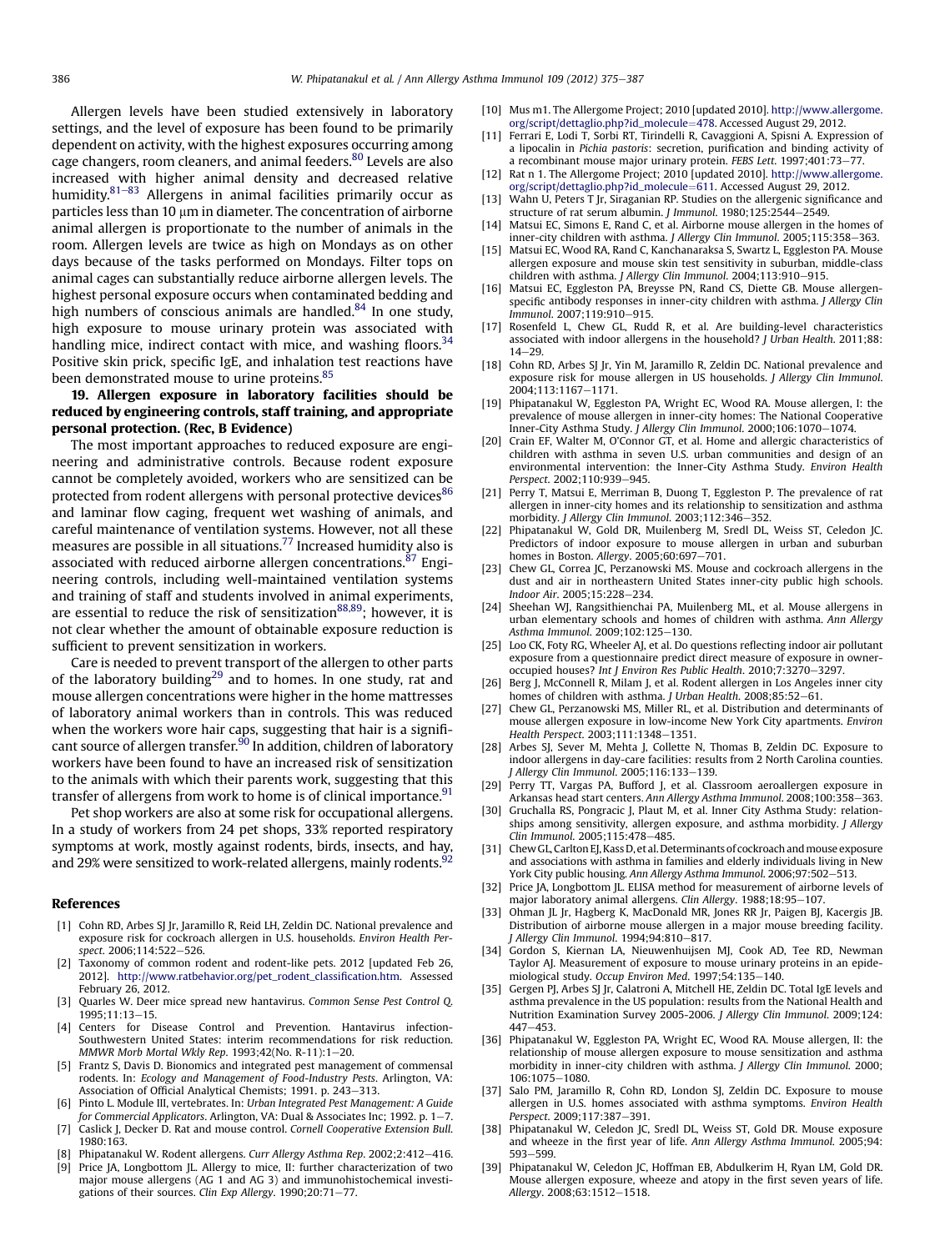<span id="page-11-0"></span>Allergen levels have been studied extensively in laboratory settings, and the level of exposure has been found to be primarily dependent on activity, with the highest exposures occurring among cage changers, room cleaners, and animal feeders.<sup>[80](#page-12-0)</sup> Levels are also increased with higher animal density and decreased relative humidity. $81-83$  $81-83$  $81-83$  Allergens in animal facilities primarily occur as particles less than 10  $\mu$ m in diameter. The concentration of airborne animal allergen is proportionate to the number of animals in the room. Allergen levels are twice as high on Mondays as on other days because of the tasks performed on Mondays. Filter tops on animal cages can substantially reduce airborne allergen levels. The highest personal exposure occurs when contaminated bedding and high numbers of conscious animals are handled.<sup>[84](#page-12-0)</sup> In one study, high exposure to mouse urinary protein was associated with handling mice, indirect contact with mice, and washing floors.<sup>34</sup> Positive skin prick, specific IgE, and inhalation test reactions have been demonstrated mouse to urine proteins.<sup>[85](#page-12-0)</sup>

# 19. Allergen exposure in laboratory facilities should be reduced by engineering controls, staff training, and appropriate personal protection. (Rec, B Evidence)

The most important approaches to reduced exposure are engineering and administrative controls. Because rodent exposure cannot be completely avoided, workers who are sensitized can be protected from rodent allergens with personal protective devices<sup>[86](#page-12-0)</sup> and laminar flow caging, frequent wet washing of animals, and careful maintenance of ventilation systems. However, not all these measures are possible in all situations.<sup>[77](#page-12-0)</sup> Increased humidity also is associated with reduced airborne allergen concentrations.<sup>[87](#page-12-0)</sup> Engineering controls, including well-maintained ventilation systems and training of staff and students involved in animal experiments, are essential to reduce the risk of sensitization $88,89$ ; however, it is not clear whether the amount of obtainable exposure reduction is sufficient to prevent sensitization in workers.

Care is needed to prevent transport of the allergen to other parts of the laboratory building<sup>29</sup> and to homes. In one study, rat and mouse allergen concentrations were higher in the home mattresses of laboratory animal workers than in controls. This was reduced when the workers wore hair caps, suggesting that hair is a significant source of allergen transfer. $90$  In addition, children of laboratory workers have been found to have an increased risk of sensitization to the animals with which their parents work, suggesting that this transfer of allergens from work to home is of clinical importance. $91$ 

Pet shop workers are also at some risk for occupational allergens. In a study of workers from 24 pet shops, 33% reported respiratory symptoms at work, mostly against rodents, birds, insects, and hay, and 29% were sensitized to work-related allergens, mainly rodents.  $92$ 

#### References

- [1] Cohn RD, Arbes SJ Jr, Jaramillo R, Reid LH, Zeldin DC. National prevalence and exposure risk for cockroach allergen in U.S. households. Environ Health Perspect. 2006;114:522-526.
- Taxonomy of common rodent and rodent-like pets. 2012 [updated Feb 26, 2012]. [http://www.ratbehavior.org/pet\\_rodent\\_classi](http://www.ratbehavior.org/pet_rodent_classification.htm)fication.htm. Assessed February 26, 2012.
- [3] Quarles W. Deer mice spread new hantavirus. Common Sense Pest Control Q.  $1995:11:13-15$
- [4] Centers for Disease Control and Prevention. Hantavirus infection-Southwestern United States: interim recommendations for risk reduction. MMWR Morb Mortal Wkly Rep. 1993;42(No. R-11):1-20.
- [5] Frantz S, Davis D. Bionomics and integrated pest management of commensal rodents. In: Ecology and Management of Food-Industry Pests. Arlington, VA: Association of Official Analytical Chemists; 1991. p. 243–313.
- [6] Pinto L. Module III, vertebrates. In: Urban Integrated Pest Management: A Guide
- for Commercial Applicators. Arlington, VA: Dual & Associates Inc; 1992. p. 1-7. [7] Caslick J, Decker D. Rat and mouse control. Cornell Cooperative Extension Bull. 1980:163.
- Phipatanakul W. Rodent allergens. Curr Allergy Asthma Rep. 2002;2:412-416.
- Price JA, Longbottom JL. Allergy to mice, II: further characterization of two major mouse allergens (AG 1 and AG 3) and immunohistochemical investigations of their sources. Clin Exp Allergy. 1990;20:71-77.
- [10] Mus m1. The Allergome Project; 2010 [updated 2010]. [http://www.allergome.](http://www.allergome.org/script/dettaglio.php%3fid_molecule%3d478) [org/script/dettaglio.php?id\\_molecule](http://www.allergome.org/script/dettaglio.php%3fid_molecule%3d478)=[478](http://www.allergome.org/script/dettaglio.php%3fid_molecule%3d478). Accessed August 29, 2012.
- [11] Ferrari E, Lodi T, Sorbi RT, Tirindelli R, Cavaggioni A, Spisni A. Expression of a lipocalin in Pichia pastoris: secretion, purification and binding activity of a recombinant mouse major urinary protein. FEBS Lett. 1997;401:73-77.
- [12] Rat n 1. The Allergome Project; 2010 [updated 2010]. [http://www.allergome.](http://www.allergome.org/script/dettaglio.php%3fid_molecule%3d611) [org/script/dettaglio.php?id\\_molecule](http://www.allergome.org/script/dettaglio.php%3fid_molecule%3d611)=[611](http://www.allergome.org/script/dettaglio.php%3fid_molecule%3d611). Accessed August 29, 2012.
- Wahn U, Peters T Jr, Siraganian RP. Studies on the allergenic significance and structure of rat serum albumin. J Immunol. 1980;125:2544-2549.
- [14] Matsui EC, Simons E, Rand C, et al. Airborne mouse allergen in the homes of inner-city children with asthma. J Allergy Clin Immunol. 2005;115:358-363.
- [15] Matsui EC, Wood RA, Rand C, Kanchanaraksa S, Swartz L, Eggleston PA. Mouse allergen exposure and mouse skin test sensitivity in suburban, middle-class children with asthma. J Allergy Clin Immunol. 2004;113:910-915.
- [16] Matsui EC, Eggleston PA, Breysse PN, Rand CS, Diette GB. Mouse allergenspecific antibody responses in inner-city children with asthma. *J Allergy Clin* Immunol. 2007:119:910-915.
- [17] Rosenfeld L, Chew GL, Rudd R, et al. Are building-level characteristics associated with indoor allergens in the household? J Urban Health. 2011;88:  $14 - 29$
- [18] Cohn RD, Arbes SJ Jr, Yin M, Jaramillo R, Zeldin DC. National prevalence and exposure risk for mouse allergen in US households. J Allergy Clin Immunol. 2004;113:1167e1171.
- [19] Phipatanakul W, Eggleston PA, Wright EC, Wood RA. Mouse allergen, I: the prevalence of mouse allergen in inner-city homes: The National Cooperative Inner-City Asthma Study. J Allergy Clin Immunol. 2000;106:1070-1074.
- [20] Crain EF, Walter M, O'Connor GT, et al. Home and allergic characteristics of children with asthma in seven U.S. urban communities and design of an environmental intervention: the Inner-City Asthma Study. Environ Health Perspect. 2002:110:939-945.
- [21] Perry T, Matsui E, Merriman B, Duong T, Eggleston P. The prevalence of rat allergen in inner-city homes and its relationship to sensitization and asthma morbidity. J Allergy Clin Immunol. 2003;112:346-352.
- [22] Phipatanakul W, Gold DR, Muilenberg M, Sredl DL, Weiss ST, Celedon JC. Predictors of indoor exposure to mouse allergen in urban and suburban homes in Boston. Allergy.  $2005;60:697-701$ .
- [23] Chew GL, Correa JC, Perzanowski MS. Mouse and cockroach allergens in the dust and air in northeastern United States inner-city public high schools. Indoor Air. 2005;15:228-234.
- [24] Sheehan WJ, Rangsithienchai PA, Muilenberg ML, et al. Mouse allergens in urban elementary schools and homes of children with asthma. Ann Allergy Asthma Immunol. 2009;102:125-130.
- [25] Loo CK, Foty RG, Wheeler AJ, et al. Do questions reflecting indoor air pollutant exposure from a questionnaire predict direct measure of exposure in owneroccupied houses? Int J Environ Res Public Health. 2010;7:3270-3297.
- [26] Berg J, McConnell R, Milam J, et al. Rodent allergen in Los Angeles inner city homes of children with asthma. J Urban Health. 2008;85:52-61.
- [27] Chew GL, Perzanowski MS, Miller RL, et al. Distribution and determinants of mouse allergen exposure in low-income New York City apartments. Environ Health Perspect. 2003;111:1348-1351.
- [28] Arbes SJ, Sever M, Mehta J, Collette N, Thomas B, Zeldin DC. Exposure to indoor allergens in day-care facilities: results from 2 North Carolina counties. J Allergy Clin Immunol. 2005;116:133-139.
- [29] Perry TT, Vargas PA, Bufford J, et al. Classroom aeroallergen exposure in Arkansas head start centers. Ann Allergy Asthma Immunol. 2008;100:358e363.
- [30] Gruchalla RS, Pongracic J, Plaut M, et al. Inner City Asthma Study: relationships among sensitivity, allergen exposure, and asthma morbidity. *J Allergy* Clin Immunol. 2005;115:478-485.
- [31] Chew GL, Carlton EJ, Kass D, et al. Determinants of cockroach and mouse exposure and associations with asthma in families and elderly individuals living in New York City public housing. Ann Allergy Asthma Immunol. 2006;97:502-513.
- [32] Price JA, Longbottom JL. ELISA method for measurement of airborne levels of major laboratory animal allergens. Clin Allergy. 1988;18:95-107.
- [33] Ohman JL Jr, Hagberg K, MacDonald MR, Jones RR Jr, Paigen BJ, Kacergis JB. Distribution of airborne mouse allergen in a major mouse breeding facility. J Allergy Clin Immunol. 1994;94:810-817.
- [34] Gordon S, Kiernan LA, Nieuwenhuijsen MJ, Cook AD, Tee RD, Newman Taylor AJ. Measurement of exposure to mouse urinary proteins in an epidemiological study. Occup Environ Med. 1997;54:135-140.
- [35] Gergen PJ, Arbes SJ Jr, Calatroni A, Mitchell HE, Zeldin DC. Total IgE levels and asthma prevalence in the US population: results from the National Health and Nutrition Examination Survey 2005-2006. J Allergy Clin Immunol. 2009;124:  $447 - 453$ .
- [36] Phipatanakul W, Eggleston PA, Wright EC, Wood RA. Mouse allergen, II: the relationship of mouse allergen exposure to mouse sensitization and asthma morbidity in inner-city children with asthma. J Allergy Clin Immunol. 2000; 106:1075-1080.
- [37] Salo PM, Jaramillo R, Cohn RD, London SJ, Zeldin DC. Exposure to mouse allergen in U.S. homes associated with asthma symptoms. Environ Health Perspect. 2009;117:387-391.
- [38] Phipatanakul W, Celedon JC, Sredl DL, Weiss ST, Gold DR. Mouse exposure and wheeze in the first year of life. Ann Allergy Asthma Immunol. 2005;94: 593-599.
- [39] Phipatanakul W, Celedon JC, Hoffman EB, Abdulkerim H, Ryan LM, Gold DR. Mouse allergen exposure, wheeze and atopy in the first seven years of life. Allergy. 2008;63:1512-1518.